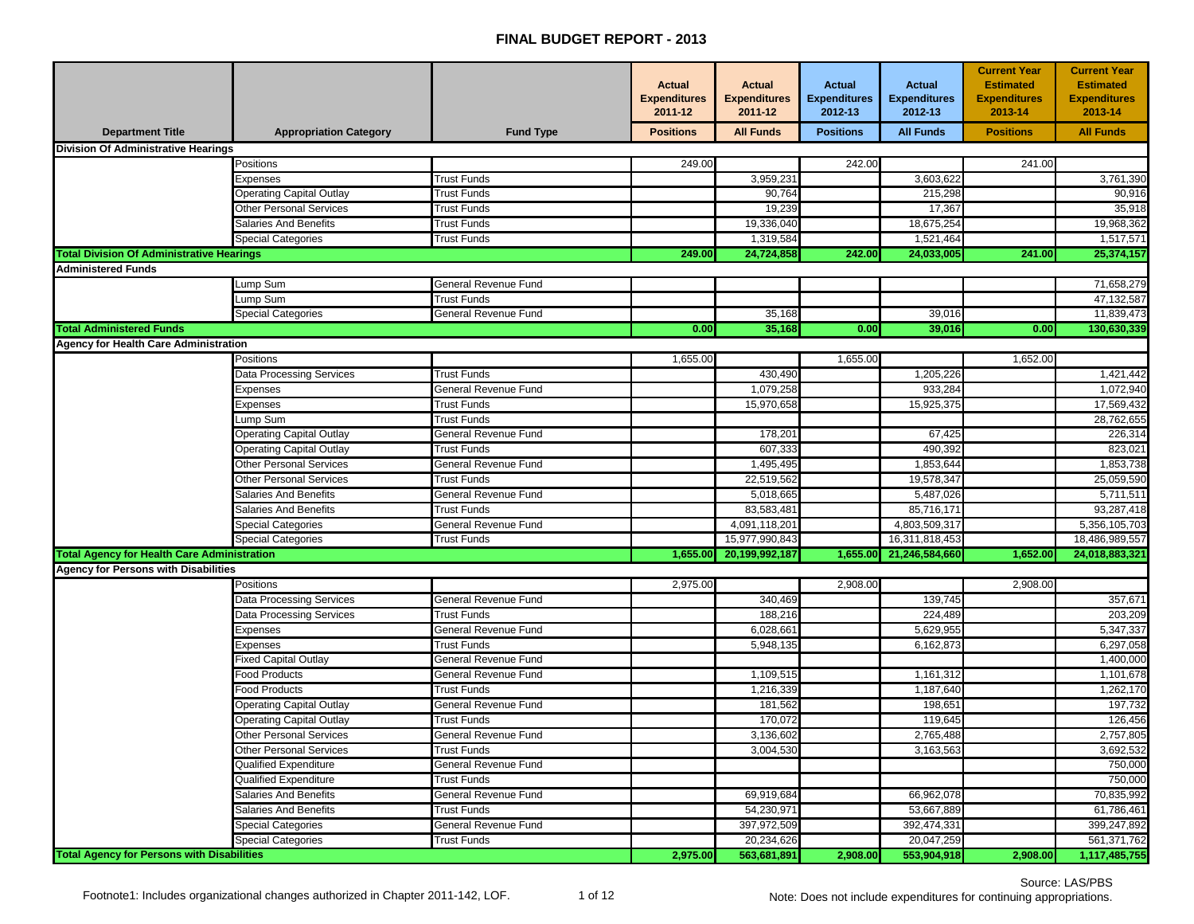## **FINAL BUDGET REPORT - 2013**

|                                                    |                                                              |                                     | <b>Actual</b><br><b>Expenditures</b><br>2011-12 | <b>Actual</b><br><b>Expenditures</b><br>2011-12 | <b>Actual</b><br><b>Expenditures</b><br>2012-13 | <b>Actual</b><br><b>Expenditures</b><br>2012-13 | <b>Current Year</b><br><b>Estimated</b><br><b>Expenditures</b><br>2013-14 | <b>Current Year</b><br><b>Estimated</b><br><b>Expenditures</b><br>2013-14 |
|----------------------------------------------------|--------------------------------------------------------------|-------------------------------------|-------------------------------------------------|-------------------------------------------------|-------------------------------------------------|-------------------------------------------------|---------------------------------------------------------------------------|---------------------------------------------------------------------------|
| <b>Department Title</b>                            | <b>Appropriation Category</b>                                | <b>Fund Type</b>                    | <b>Positions</b>                                | <b>All Funds</b>                                | <b>Positions</b>                                | <b>All Funds</b>                                | <b>Positions</b>                                                          | <b>All Funds</b>                                                          |
| <b>Division Of Administrative Hearings</b>         |                                                              |                                     |                                                 |                                                 |                                                 |                                                 |                                                                           |                                                                           |
|                                                    | Positions                                                    |                                     | 249.00                                          |                                                 | 242.00                                          |                                                 | 241.00                                                                    |                                                                           |
|                                                    | Expenses                                                     | <b>Trust Funds</b>                  |                                                 | 3,959,231                                       |                                                 | 3,603,622                                       |                                                                           | 3,761,390                                                                 |
|                                                    | <b>Operating Capital Outlay</b>                              | <b>Trust Funds</b>                  |                                                 | 90,764                                          |                                                 | 215,298                                         |                                                                           | 90,916                                                                    |
|                                                    | Other Personal Services                                      | <b>Trust Funds</b>                  |                                                 | 19,239                                          |                                                 | 17,367                                          |                                                                           | 35,918                                                                    |
|                                                    | Salaries And Benefits                                        | Trust Funds                         |                                                 | 19,336,040                                      |                                                 | 18,675,254                                      |                                                                           | 19,968,362                                                                |
|                                                    | Special Categories                                           | <b>Trust Funds</b>                  |                                                 | 1,319,584                                       |                                                 | 1,521,464                                       |                                                                           | 1,517,571                                                                 |
| <b>Total Division Of Administrative Hearings</b>   |                                                              |                                     | 249.00                                          | 24,724,858                                      | 242.00                                          | 24,033,005                                      | 241.00                                                                    | 25,374,157                                                                |
| <b>Administered Funds</b>                          |                                                              |                                     |                                                 |                                                 |                                                 |                                                 |                                                                           |                                                                           |
|                                                    | ump Sum                                                      | General Revenue Fund                |                                                 |                                                 |                                                 |                                                 |                                                                           | 71,658,279                                                                |
|                                                    | ump Sum                                                      | <b>Trust Funds</b>                  |                                                 |                                                 |                                                 |                                                 |                                                                           | 47,132,587                                                                |
|                                                    | Special Categories                                           | General Revenue Fund                |                                                 | 35,168                                          |                                                 | 39,016                                          |                                                                           | 11,839,473                                                                |
| <b>Total Administered Funds</b>                    |                                                              |                                     | 0.00                                            | 35,168                                          | 0.00                                            | 39,016                                          | 0.00                                                                      | 130,630,339                                                               |
| <b>Agency for Health Care Administration</b>       |                                                              |                                     |                                                 |                                                 |                                                 |                                                 |                                                                           |                                                                           |
|                                                    | Positions                                                    |                                     | 1,655.00                                        |                                                 | 1,655.00                                        |                                                 | 1,652.00                                                                  |                                                                           |
|                                                    | Data Processing Services                                     | <b>Trust Funds</b>                  |                                                 | 430,490                                         |                                                 | 1,205,226                                       |                                                                           | 1,421,442                                                                 |
|                                                    | Expenses                                                     | General Revenue Fund                |                                                 | 1,079,258                                       |                                                 | 933,284                                         |                                                                           | 1,072,940                                                                 |
|                                                    | Expenses                                                     | <b>Trust Funds</b>                  |                                                 | 15,970,658                                      |                                                 | 15,925,375                                      |                                                                           | 17,569,432                                                                |
|                                                    | ump Sum                                                      | <b>Trust Funds</b>                  |                                                 |                                                 |                                                 |                                                 |                                                                           | 28,762,655                                                                |
|                                                    | <b>Operating Capital Outlay</b>                              | General Revenue Fund                |                                                 | 178,201                                         |                                                 | 67,425                                          |                                                                           | 226,314                                                                   |
|                                                    | Operating Capital Outlay                                     | <b>Trust Funds</b>                  |                                                 | 607,333                                         |                                                 | 490,392                                         |                                                                           | 823,021                                                                   |
|                                                    | Other Personal Services                                      | General Revenue Fund                |                                                 | 1,495,495                                       |                                                 | 1,853,644                                       |                                                                           | 1,853,738                                                                 |
|                                                    | Other Personal Services                                      | <b>Trust Funds</b>                  |                                                 | 22,519,562                                      |                                                 | 19,578,347                                      |                                                                           | 25,059,590                                                                |
|                                                    | <b>Salaries And Benefits</b>                                 | General Revenue Fund                |                                                 | 5,018,665                                       |                                                 | 5,487,026                                       |                                                                           | 5,711,511                                                                 |
|                                                    | <b>Salaries And Benefits</b>                                 | <b>Trust Funds</b>                  |                                                 | 83,583,481                                      |                                                 | 85,716,171                                      |                                                                           | 93,287,418                                                                |
|                                                    | Special Categories                                           | General Revenue Fund                |                                                 | 4,091,118,201                                   |                                                 | 4,803,509,317                                   |                                                                           | 5,356,105,703                                                             |
|                                                    | Special Categories                                           | Trust Funds                         |                                                 | 15,977,990,843                                  |                                                 | 16,311,818,453                                  |                                                                           | 18,486,989,557                                                            |
| <b>Total Agency for Health Care Administration</b> |                                                              |                                     | 1,655.00                                        | 20,199,992,187                                  | 1,655.00                                        | 21,246,584,660                                  | 1,652.00                                                                  | 24,018,883,321                                                            |
| <b>Agency for Persons with Disabilities</b>        |                                                              |                                     |                                                 |                                                 |                                                 |                                                 |                                                                           |                                                                           |
|                                                    | Positions                                                    |                                     | 2,975.00                                        |                                                 | 2,908.00                                        |                                                 | 2,908.00                                                                  |                                                                           |
|                                                    | Data Processing Services                                     | General Revenue Fund                |                                                 | 340,469                                         |                                                 | 139,745                                         |                                                                           | 357,671                                                                   |
|                                                    | Data Processing Services                                     | <b>Trust Funds</b>                  |                                                 | 188,216                                         |                                                 | 224,489                                         |                                                                           | 203,209                                                                   |
|                                                    | Expenses                                                     | General Revenue Fund                |                                                 | 6,028,661                                       |                                                 | 5,629,955                                       |                                                                           | 5,347,337                                                                 |
|                                                    | Expenses                                                     | <b>Trust Funds</b>                  |                                                 | 5,948,135                                       |                                                 | 6,162,873                                       |                                                                           | 6,297,058                                                                 |
|                                                    | Fixed Capital Outlay                                         | General Revenue Fund                |                                                 |                                                 |                                                 |                                                 |                                                                           | 1,400,000                                                                 |
|                                                    | Food Products                                                | General Revenue Fund                |                                                 | 1,109,515                                       |                                                 | 1,161,312                                       |                                                                           | 1,101,678                                                                 |
|                                                    | Food Products                                                | <b>Trust Funds</b>                  |                                                 | 1,216,339                                       |                                                 | 1,187,640                                       |                                                                           | 1,262,170                                                                 |
|                                                    | Dperating Capital Outlay                                     | General Revenue Fund                |                                                 | 181,562                                         |                                                 | 198,651                                         |                                                                           | 197,732                                                                   |
|                                                    | <b>Operating Capital Outlay</b>                              | Trust Funds                         |                                                 | 170,072                                         |                                                 | 119,645                                         |                                                                           | 126,456                                                                   |
|                                                    | <b>Other Personal Services</b>                               | General Revenue Fund                |                                                 | 3,136,602                                       |                                                 | 2,765,488                                       |                                                                           | 2,757,805                                                                 |
|                                                    | <b>Other Personal Services</b>                               | <b>Trust Funds</b>                  |                                                 | 3,004,530                                       |                                                 | 3,163,563                                       |                                                                           | 3,692,532                                                                 |
|                                                    | Qualified Expenditure                                        | General Revenue Fund                |                                                 |                                                 |                                                 |                                                 |                                                                           | 750,000                                                                   |
|                                                    | Qualified Expenditure                                        | <b>Trust Funds</b>                  |                                                 |                                                 |                                                 |                                                 |                                                                           | 750,000                                                                   |
|                                                    | <b>Salaries And Benefits</b><br><b>Salaries And Benefits</b> | General Revenue Fund<br>Trust Funds |                                                 | 69,919,684<br>54,230,971                        |                                                 | 66,962,078<br>53,667,889                        |                                                                           | 70,835,992                                                                |
|                                                    |                                                              | General Revenue Fund                |                                                 |                                                 |                                                 |                                                 |                                                                           | 61,786,461                                                                |
|                                                    | Special Categories<br><b>Special Categories</b>              | Trust Funds                         |                                                 | 397,972,509<br>20,234,626                       |                                                 | 392,474,331<br>20,047,259                       |                                                                           | 399,247,892                                                               |
| <b>Total Agency for Persons with Disabilities</b>  |                                                              |                                     | 2.975.00                                        | 563,681,891                                     | 2,908.00                                        | 553,904,918                                     | 2,908.00                                                                  | 561,371,762<br>1,117,485,755                                              |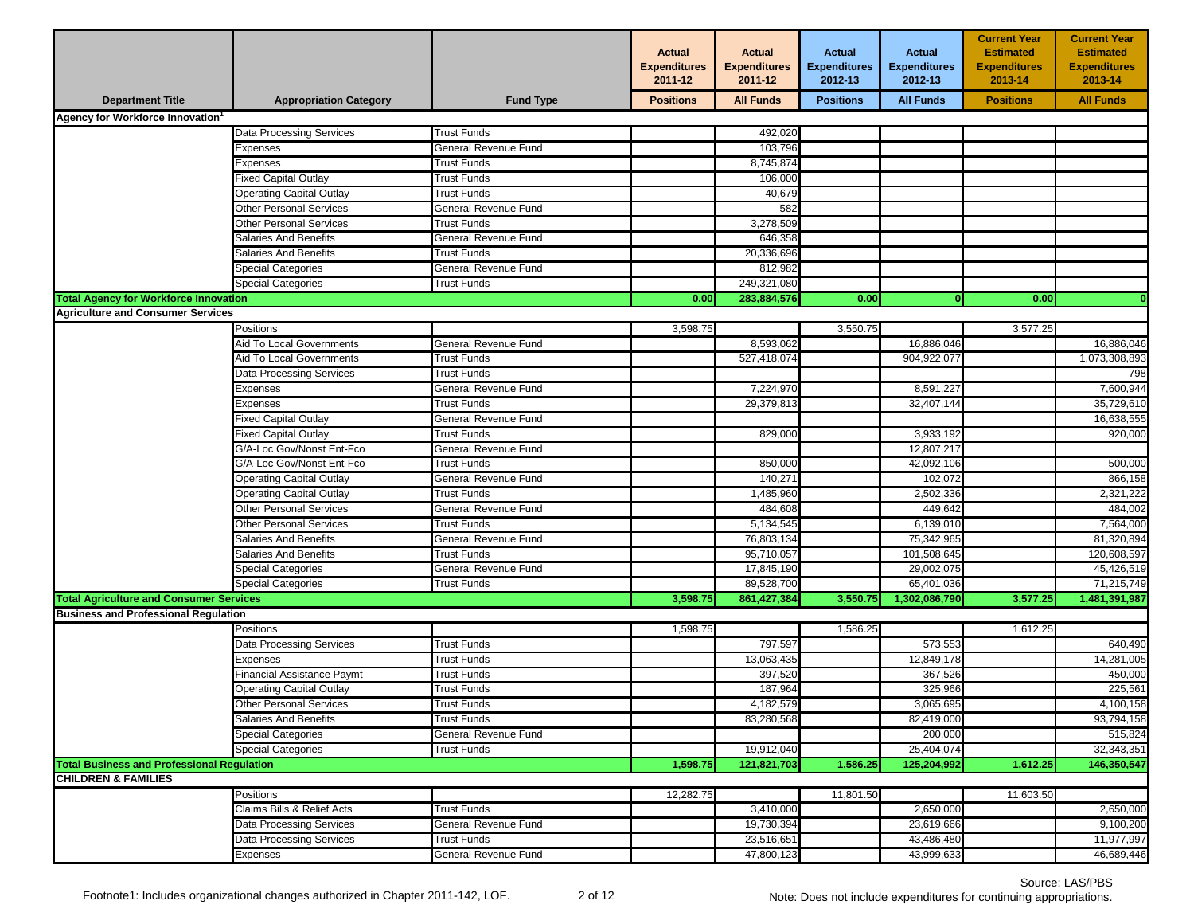|                                                   |                                 |                      | <b>Actual</b><br><b>Expenditures</b><br>2011-12 | <b>Actual</b><br><b>Expenditures</b><br>2011-12 | <b>Actual</b><br><b>Expenditures</b><br>2012-13 | <b>Actual</b><br><b>Expenditures</b><br>2012-13 | <b>Current Year</b><br><b>Estimated</b><br><b>Expenditures</b><br>2013-14 | <b>Current Year</b><br><b>Estimated</b><br><b>Expenditures</b><br>2013-14 |
|---------------------------------------------------|---------------------------------|----------------------|-------------------------------------------------|-------------------------------------------------|-------------------------------------------------|-------------------------------------------------|---------------------------------------------------------------------------|---------------------------------------------------------------------------|
| <b>Department Title</b>                           | <b>Appropriation Category</b>   | <b>Fund Type</b>     | <b>Positions</b>                                | <b>All Funds</b>                                | <b>Positions</b>                                | <b>All Funds</b>                                | <b>Positions</b>                                                          | <b>All Funds</b>                                                          |
| Agency for Workforce Innovation <sup>1</sup>      |                                 |                      |                                                 |                                                 |                                                 |                                                 |                                                                           |                                                                           |
|                                                   | <b>Data Processing Services</b> | <b>Trust Funds</b>   |                                                 | 492,020                                         |                                                 |                                                 |                                                                           |                                                                           |
|                                                   | Expenses                        | General Revenue Fund |                                                 | 103,796                                         |                                                 |                                                 |                                                                           |                                                                           |
|                                                   | Expenses                        | <b>Trust Funds</b>   |                                                 | 8,745,874                                       |                                                 |                                                 |                                                                           |                                                                           |
|                                                   | <b>Fixed Capital Outlay</b>     | <b>Trust Funds</b>   |                                                 | 106,000                                         |                                                 |                                                 |                                                                           |                                                                           |
|                                                   | <b>Operating Capital Outlay</b> | <b>Trust Funds</b>   |                                                 | 40,679                                          |                                                 |                                                 |                                                                           |                                                                           |
|                                                   | <b>Other Personal Services</b>  | General Revenue Fund |                                                 | 582                                             |                                                 |                                                 |                                                                           |                                                                           |
|                                                   | Other Personal Services         | <b>Trust Funds</b>   |                                                 | 3,278,509                                       |                                                 |                                                 |                                                                           |                                                                           |
|                                                   | Salaries And Benefits           | General Revenue Fund |                                                 | 646,358                                         |                                                 |                                                 |                                                                           |                                                                           |
|                                                   | Salaries And Benefits           | <b>Trust Funds</b>   |                                                 | 20,336,696                                      |                                                 |                                                 |                                                                           |                                                                           |
|                                                   | Special Categories              | General Revenue Fund |                                                 | 812,982                                         |                                                 |                                                 |                                                                           |                                                                           |
|                                                   | Special Categories              | Trust Funds          |                                                 | 249,321,080                                     |                                                 |                                                 |                                                                           |                                                                           |
| <b>Total Agency for Workforce Innovation</b>      |                                 |                      | 0.00                                            | 283,884,576                                     | 0.00                                            | $\mathbf{0}$                                    | 0.00                                                                      |                                                                           |
| <b>Agriculture and Consumer Services</b>          |                                 |                      |                                                 |                                                 |                                                 |                                                 |                                                                           |                                                                           |
|                                                   | Positions                       |                      | 3,598.75                                        |                                                 | 3,550.75                                        |                                                 | 3,577.25                                                                  |                                                                           |
|                                                   | Aid To Local Governments        | General Revenue Fund |                                                 | 8,593,062                                       |                                                 | 16,886,046                                      |                                                                           | 16,886,046                                                                |
|                                                   | Aid To Local Governments        | Trust Funds          |                                                 | 527,418,074                                     |                                                 | 904,922,077                                     |                                                                           | 1,073,308,893                                                             |
|                                                   | Data Processing Services        | <b>Trust Funds</b>   |                                                 |                                                 |                                                 |                                                 |                                                                           | 798                                                                       |
|                                                   | Expenses                        | General Revenue Fund |                                                 | 7,224,970                                       |                                                 | 8,591,227                                       |                                                                           | 7,600,944                                                                 |
|                                                   | Expenses                        | Trust Funds          |                                                 | 29,379,813                                      |                                                 | 32,407,144                                      |                                                                           | 35,729,610                                                                |
|                                                   | Fixed Capital Outlay            | General Revenue Fund |                                                 |                                                 |                                                 |                                                 |                                                                           | 16,638,555                                                                |
|                                                   | Fixed Capital Outlay            | <b>Trust Funds</b>   |                                                 | 829,000                                         |                                                 | 3,933,192                                       |                                                                           | 920,000                                                                   |
|                                                   | G/A-Loc Gov/Nonst Ent-Fco       | General Revenue Fund |                                                 |                                                 |                                                 | 12,807,217                                      |                                                                           |                                                                           |
|                                                   | G/A-Loc Gov/Nonst Ent-Fco       | <b>Trust Funds</b>   |                                                 | 850,000                                         |                                                 | 42,092,106                                      |                                                                           | 500,000                                                                   |
|                                                   | <b>Operating Capital Outlay</b> | General Revenue Fund |                                                 | 140,271                                         |                                                 | 102,072                                         |                                                                           | 866,158                                                                   |
|                                                   | <b>Operating Capital Outlay</b> | Trust Funds          |                                                 | 1,485,960                                       |                                                 | 2,502,336                                       |                                                                           | 2,321,222                                                                 |
|                                                   | Other Personal Services         | General Revenue Fund |                                                 | 484,608                                         |                                                 | 449,642                                         |                                                                           | 484,002                                                                   |
|                                                   | <b>Other Personal Services</b>  | <b>Trust Funds</b>   |                                                 | 5,134,545                                       |                                                 | 6,139,010                                       |                                                                           | 7,564,000                                                                 |
|                                                   | Salaries And Benefits           | General Revenue Fund |                                                 | 76,803,134                                      |                                                 | 75,342,965                                      |                                                                           | 81,320,894                                                                |
|                                                   | Salaries And Benefits           | <b>Trust Funds</b>   |                                                 | 95,710,057                                      |                                                 | 101,508,645                                     |                                                                           | 120,608,597                                                               |
|                                                   | <b>Special Categories</b>       | General Revenue Fund |                                                 | 17,845,190                                      |                                                 | 29,002,075                                      |                                                                           | 45,426,519                                                                |
|                                                   | <b>Special Categories</b>       | <b>Trust Funds</b>   |                                                 | 89,528,700                                      |                                                 | 65,401,036                                      |                                                                           | 71,215,749                                                                |
| <b>Total Agriculture and Consumer Services</b>    |                                 |                      | 3,598.75                                        | 861,427,384                                     | 3,550.75                                        | 1,302,086,790                                   | 3,577.25                                                                  | 1,481,391,987                                                             |
| <b>Business and Professional Regulation</b>       |                                 |                      |                                                 |                                                 |                                                 |                                                 |                                                                           |                                                                           |
|                                                   | Positions                       |                      | 1,598.75                                        |                                                 | 1,586.25                                        |                                                 | 1,612.25                                                                  |                                                                           |
|                                                   | Data Processing Services        | <b>Trust Funds</b>   |                                                 | 797,597                                         |                                                 | 573,553                                         |                                                                           | 640,490                                                                   |
|                                                   | Expenses                        | Trust Funds          |                                                 | 13,063,435                                      |                                                 | 12,849,178                                      |                                                                           | 14,281,005                                                                |
|                                                   | Financial Assistance Paymt      | Trust Funds          |                                                 | 397,520                                         |                                                 | 367,526                                         |                                                                           | 450,000                                                                   |
|                                                   | Operating Capital Outlay        | Trust Funds          |                                                 | 187,964                                         |                                                 | 325,966                                         |                                                                           | 225,561                                                                   |
|                                                   | <b>Other Personal Services</b>  | <b>Trust Funds</b>   |                                                 | 4,182,579                                       |                                                 | 3,065,695                                       |                                                                           | 4,100,158                                                                 |
|                                                   | Salaries And Benefits           | Trust Funds          |                                                 | 83,280,568                                      |                                                 | 82,419,000                                      |                                                                           | 93,794,158                                                                |
|                                                   | <b>Special Categories</b>       | General Revenue Fund |                                                 |                                                 |                                                 | 200,000                                         |                                                                           | 515,824                                                                   |
|                                                   | <b>Special Categories</b>       | <b>Trust Funds</b>   |                                                 | 19,912,040                                      |                                                 | 25,404,074                                      |                                                                           | 32,343,351                                                                |
| <b>Total Business and Professional Requlation</b> |                                 |                      | 1,598.75                                        | 121,821,703                                     | 1,586.25                                        | 125,204,992                                     | 1,612.25                                                                  | 146,350,547                                                               |
| <b>CHILDREN &amp; FAMILIES</b>                    |                                 |                      |                                                 |                                                 |                                                 |                                                 |                                                                           |                                                                           |
|                                                   | Positions                       |                      | 12,282.75                                       |                                                 | 11,801.50                                       |                                                 | 11,603.50                                                                 |                                                                           |
|                                                   | Claims Bills & Relief Acts      | Trust Funds          |                                                 | 3,410,000                                       |                                                 | 2,650,000                                       |                                                                           | 2,650,000                                                                 |
|                                                   | Data Processing Services        | General Revenue Fund |                                                 | 19,730,394                                      |                                                 | 23,619,666                                      |                                                                           | 9,100,200                                                                 |
|                                                   | <b>Data Processing Services</b> | <b>Trust Funds</b>   |                                                 | 23,516,651                                      |                                                 | 43,486,480                                      |                                                                           | 11,977,997                                                                |
|                                                   | Expenses                        | General Revenue Fund |                                                 | 47,800,123                                      |                                                 | 43,999,633                                      |                                                                           | 46,689,446                                                                |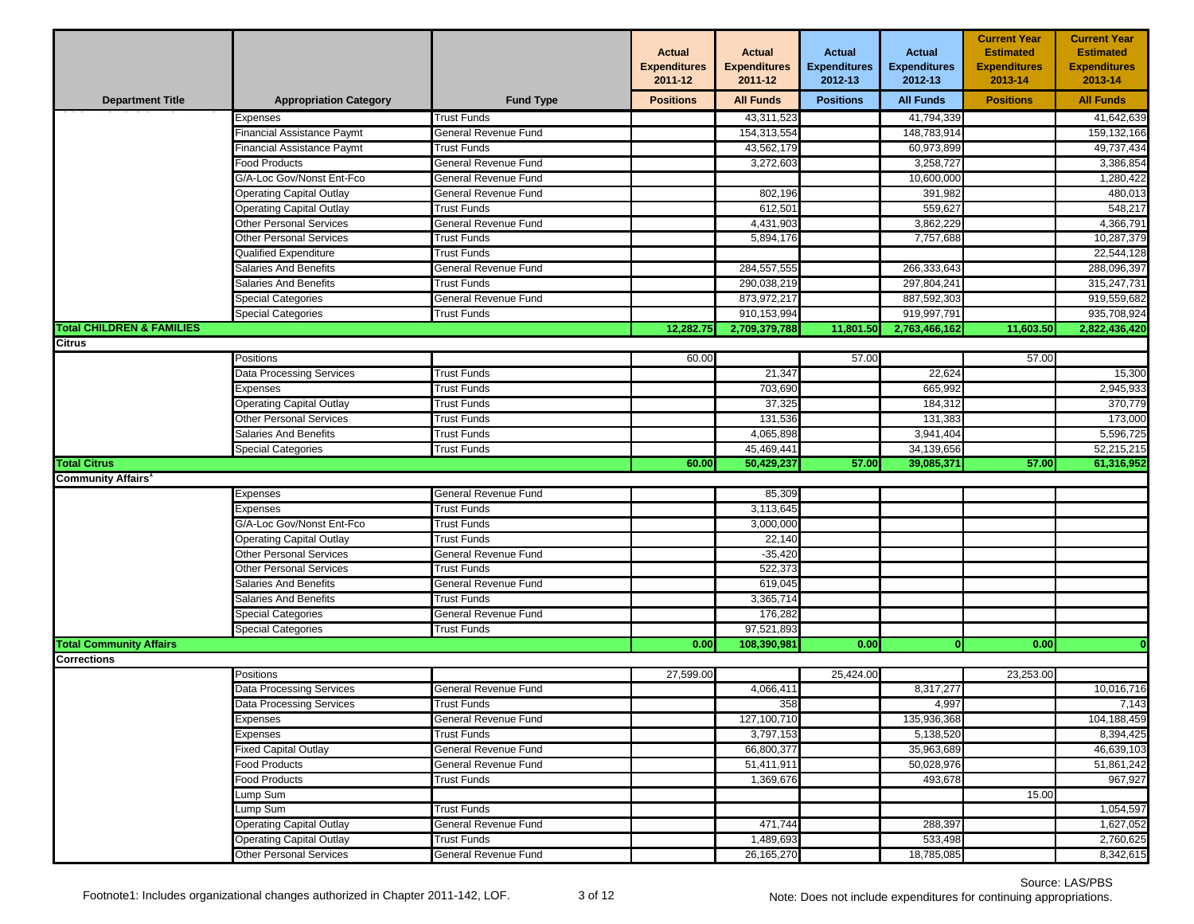|                                      |                                   |                      | <b>Actual</b><br><b>Expenditures</b><br>2011-12 | <b>Actual</b><br><b>Expenditures</b><br>2011-12 | <b>Actual</b><br><b>Expenditures</b><br>2012-13 | <b>Actual</b><br><b>Expenditures</b><br>2012-13 | <b>Current Year</b><br><b>Estimated</b><br><b>Expenditures</b><br>2013-14 | <b>Current Year</b><br><b>Estimated</b><br><b>Expenditures</b><br>2013-14 |
|--------------------------------------|-----------------------------------|----------------------|-------------------------------------------------|-------------------------------------------------|-------------------------------------------------|-------------------------------------------------|---------------------------------------------------------------------------|---------------------------------------------------------------------------|
| <b>Department Title</b>              | <b>Appropriation Category</b>     | <b>Fund Type</b>     | <b>Positions</b>                                | <b>All Funds</b>                                | <b>Positions</b>                                | <b>All Funds</b>                                | <b>Positions</b>                                                          | <b>All Funds</b>                                                          |
|                                      | Expenses                          | <b>Trust Funds</b>   |                                                 | 43,311,523                                      |                                                 | 41,794,339                                      |                                                                           | 41,642,639                                                                |
|                                      | <b>Financial Assistance Paymt</b> | General Revenue Fund |                                                 | 154,313,554                                     |                                                 | 148,783,914                                     |                                                                           | 159,132,166                                                               |
|                                      | Financial Assistance Paymt        | Trust Funds          |                                                 | 43,562,179                                      |                                                 | 60,973,899                                      |                                                                           | 49,737,434                                                                |
|                                      | Food Products                     | General Revenue Fund |                                                 | 3,272,603                                       |                                                 | 3,258,727                                       |                                                                           | 3,386,854                                                                 |
|                                      | G/A-Loc Gov/Nonst Ent-Fco         | General Revenue Fund |                                                 |                                                 |                                                 | 10,600,000                                      |                                                                           | 1,280,422                                                                 |
|                                      | Operating Capital Outlay          | General Revenue Fund |                                                 | 802,196                                         |                                                 | 391,982                                         |                                                                           | 480,013                                                                   |
|                                      | <b>Operating Capital Outlay</b>   | <b>Trust Funds</b>   |                                                 | 612,501                                         |                                                 | 559,627                                         |                                                                           | 548,217                                                                   |
|                                      | <b>Other Personal Services</b>    | General Revenue Fund |                                                 | 4,431,903                                       |                                                 | 3,862,229                                       |                                                                           | 4,366,791                                                                 |
|                                      | Other Personal Services           | <b>Trust Funds</b>   |                                                 | 5,894,176                                       |                                                 | 7,757,688                                       |                                                                           | 10,287,379                                                                |
|                                      | Qualified Expenditure             | <b>Trust Funds</b>   |                                                 |                                                 |                                                 |                                                 |                                                                           | 22,544,128                                                                |
|                                      | <b>Salaries And Benefits</b>      | General Revenue Fund |                                                 | 284,557,555                                     |                                                 | 266,333,643                                     |                                                                           | 288,096,397                                                               |
|                                      | Salaries And Benefits             | Trust Funds          |                                                 | 290,038,219                                     |                                                 | 297,804,241                                     |                                                                           | 315,247,731                                                               |
|                                      | <b>Special Categories</b>         | General Revenue Fund |                                                 | 873,972,217                                     |                                                 | 887,592,303                                     |                                                                           | 919,559,682                                                               |
|                                      | Special Categories                | <b>Trust Funds</b>   |                                                 | 910,153,994                                     |                                                 | 919,997,791                                     |                                                                           | 935,708,924                                                               |
| <b>Total CHILDREN &amp; FAMILIES</b> |                                   |                      | 12,282.75                                       | 2,709,379,788                                   | 11,801.50                                       | 2,763,466,162                                   | 11,603.50                                                                 | 2,822,436,420                                                             |
| <b>Citrus</b>                        |                                   |                      |                                                 |                                                 |                                                 |                                                 |                                                                           |                                                                           |
|                                      | Positions                         |                      | 60.00                                           |                                                 | 57.00                                           |                                                 | 57.00                                                                     |                                                                           |
|                                      | Data Processing Services          | <b>Trust Funds</b>   |                                                 | 21,347                                          |                                                 | 22,624                                          |                                                                           | 15,300                                                                    |
|                                      | <i>Expenses</i>                   | <b>Trust Funds</b>   |                                                 | 703,690                                         |                                                 | 665,992                                         |                                                                           | 2,945,933                                                                 |
|                                      | <b>Operating Capital Outlay</b>   | Trust Funds          |                                                 | 37,325                                          |                                                 | 184,312                                         |                                                                           | 370,779                                                                   |
|                                      | Other Personal Services           | <b>Trust Funds</b>   |                                                 | 131,536                                         |                                                 | 131,383                                         |                                                                           | 173,000                                                                   |
|                                      | <b>Salaries And Benefits</b>      | <b>Trust Funds</b>   |                                                 | 4,065,898                                       |                                                 | 3,941,404                                       |                                                                           | 5,596,725                                                                 |
|                                      | Special Categories                | <b>Trust Funds</b>   |                                                 | 45,469,441                                      |                                                 | 34,139,656                                      |                                                                           | 52,215,215                                                                |
| <b>Total Citrus</b>                  |                                   |                      | 60.00                                           | 50,429,237                                      | 57.00                                           | 39,085,371                                      | 57.00                                                                     | 61,316,952                                                                |
| <b>Community Affairs</b>             |                                   |                      |                                                 |                                                 |                                                 |                                                 |                                                                           |                                                                           |
|                                      | Expenses                          | General Revenue Fund |                                                 | 85,309                                          |                                                 |                                                 |                                                                           |                                                                           |
|                                      | <i>Expenses</i>                   | Trust Funds          |                                                 | 3,113,645                                       |                                                 |                                                 |                                                                           |                                                                           |
|                                      | G/A-Loc Gov/Nonst Ent-Fco         | <b>Trust Funds</b>   |                                                 | 3,000,000                                       |                                                 |                                                 |                                                                           |                                                                           |
|                                      | <b>Operating Capital Outlay</b>   | <b>Trust Funds</b>   |                                                 | 22,140                                          |                                                 |                                                 |                                                                           |                                                                           |
|                                      | Other Personal Services           | General Revenue Fund |                                                 | $-35,420$                                       |                                                 |                                                 |                                                                           |                                                                           |
|                                      | Other Personal Services           | <b>Trust Funds</b>   |                                                 | 522,373                                         |                                                 |                                                 |                                                                           |                                                                           |
|                                      | Salaries And Benefits             | General Revenue Fund |                                                 | 619,045                                         |                                                 |                                                 |                                                                           |                                                                           |
|                                      | Salaries And Benefits             | Trust Funds          |                                                 | 3,365,714                                       |                                                 |                                                 |                                                                           |                                                                           |
|                                      | Special Categories                | General Revenue Fund |                                                 | 176,282                                         |                                                 |                                                 |                                                                           |                                                                           |
|                                      | Special Categories                | <b>Trust Funds</b>   |                                                 | 97,521,893                                      |                                                 |                                                 |                                                                           |                                                                           |
| <b>Total Community Affairs</b>       |                                   |                      | 0.00                                            | 108,390,981                                     | 0.00                                            |                                                 | 0.00                                                                      |                                                                           |
| <b>Corrections</b>                   |                                   |                      |                                                 |                                                 |                                                 |                                                 |                                                                           |                                                                           |
|                                      | Positions                         |                      | 27,599.00                                       |                                                 | 25,424.00                                       |                                                 | 23,253.00                                                                 |                                                                           |
|                                      | <b>Data Processing Services</b>   | General Revenue Fund |                                                 | 4,066,411                                       |                                                 | 8,317,277                                       |                                                                           | 10,016,716                                                                |
|                                      | Data Processing Services          | <b>Trust Funds</b>   |                                                 | 358                                             |                                                 | 4,997                                           |                                                                           | 7,143                                                                     |
|                                      | Expenses                          | General Revenue Fund |                                                 | 127,100,710                                     |                                                 | 135,936,368                                     |                                                                           | 104,188,459                                                               |
|                                      | Expenses                          | <b>Trust Funds</b>   |                                                 | 3,797,153                                       |                                                 | 5,138,520                                       |                                                                           | 8,394,425                                                                 |
|                                      | <b>Fixed Capital Outlay</b>       | General Revenue Fund |                                                 | 66,800,377                                      |                                                 | 35,963,689                                      |                                                                           | 46,639,103                                                                |
|                                      | Food Products                     | General Revenue Fund |                                                 | 51,411,911                                      |                                                 | 50,028,976                                      |                                                                           | 51,861,242                                                                |
|                                      | Food Products                     | Trust Funds          |                                                 | 1,369,676                                       |                                                 | 493,678                                         |                                                                           | 967,927                                                                   |
|                                      | Lump Sum                          |                      |                                                 |                                                 |                                                 |                                                 | 15.00                                                                     |                                                                           |
|                                      | Lump Sum                          | <b>Trust Funds</b>   |                                                 |                                                 |                                                 |                                                 |                                                                           | 1,054,597                                                                 |
|                                      | <b>Operating Capital Outlay</b>   | General Revenue Fund |                                                 | 471,744                                         |                                                 | 288,397                                         |                                                                           | 1,627,052                                                                 |
|                                      | <b>Operating Capital Outlay</b>   | Trust Funds          |                                                 | 1,489,693                                       |                                                 | 533,498                                         |                                                                           | 2,760,625                                                                 |
|                                      | <b>Other Personal Services</b>    | General Revenue Fund |                                                 | 26, 165, 270                                    |                                                 | 18,785,085                                      |                                                                           | 8,342,615                                                                 |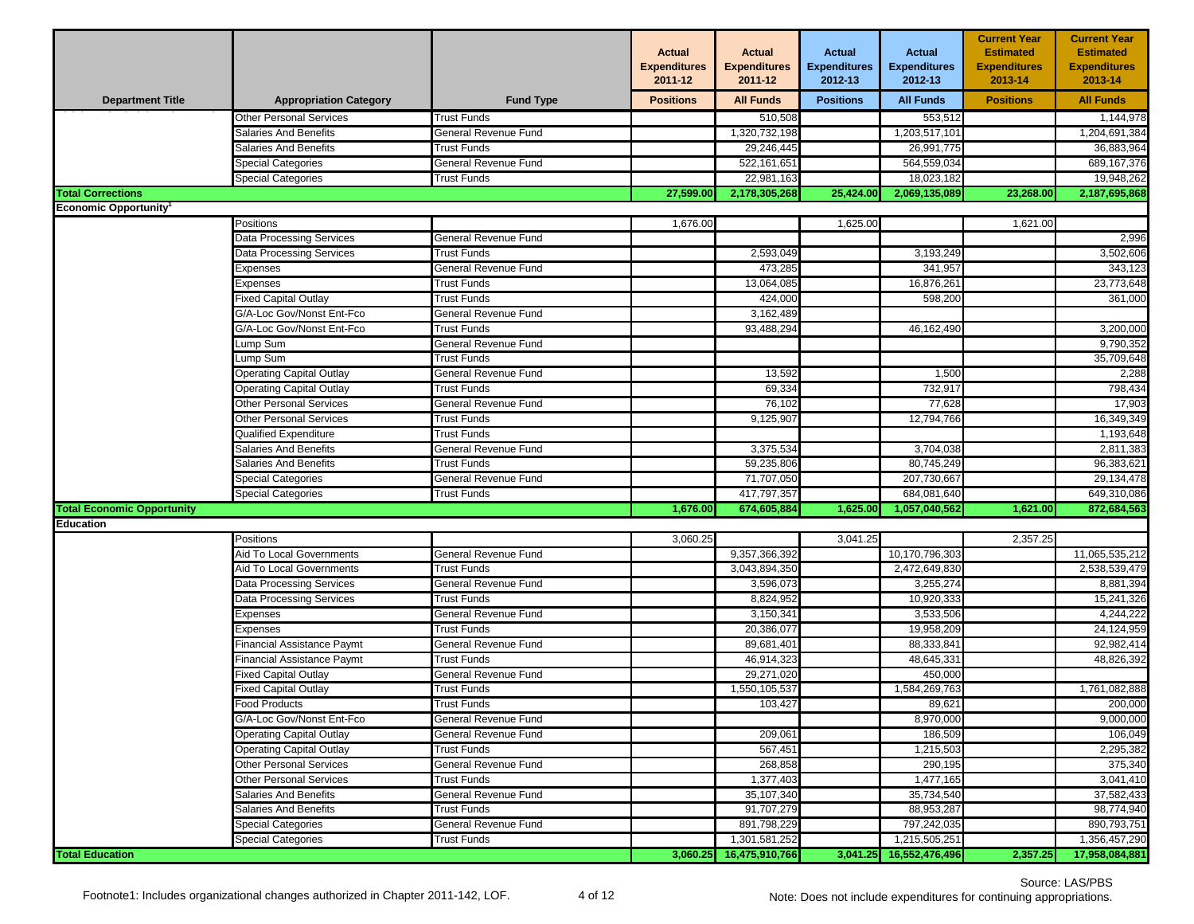|                                   |                                 |                      | <b>Actual</b><br><b>Expenditures</b><br>2011-12 | <b>Actual</b><br><b>Expenditures</b><br>2011-12 | <b>Actual</b><br><b>Expenditures</b><br>2012-13 | <b>Actual</b><br><b>Expenditures</b><br>2012-13 | <b>Current Year</b><br><b>Estimated</b><br><b>Expenditures</b><br>2013-14 | <b>Current Year</b><br><b>Estimated</b><br><b>Expenditures</b><br>2013-14 |
|-----------------------------------|---------------------------------|----------------------|-------------------------------------------------|-------------------------------------------------|-------------------------------------------------|-------------------------------------------------|---------------------------------------------------------------------------|---------------------------------------------------------------------------|
| <b>Department Title</b>           | <b>Appropriation Category</b>   | <b>Fund Type</b>     | <b>Positions</b>                                | <b>All Funds</b>                                | <b>Positions</b>                                | <b>All Funds</b>                                | <b>Positions</b>                                                          | <b>All Funds</b>                                                          |
|                                   | <b>Other Personal Services</b>  | <b>Trust Funds</b>   |                                                 | 510,508                                         |                                                 | 553,512                                         |                                                                           | 1,144,978                                                                 |
|                                   | <b>Salaries And Benefits</b>    | General Revenue Fund |                                                 | 1,320,732,198                                   |                                                 | 1,203,517,101                                   |                                                                           | 1,204,691,384                                                             |
|                                   | Salaries And Benefits           | Trust Funds          |                                                 | 29,246,445                                      |                                                 | 26,991,775                                      |                                                                           | 36,883,964                                                                |
|                                   | Special Categories              | General Revenue Fund |                                                 | 522, 161, 651                                   |                                                 | 564,559,034                                     |                                                                           | 689, 167, 376                                                             |
|                                   | <b>Special Categories</b>       | <b>Trust Funds</b>   |                                                 | 22,981,163                                      |                                                 | 18,023,182                                      |                                                                           | 19,948,262                                                                |
| <b>Total Corrections</b>          |                                 |                      | 27,599.00                                       | 2,178,305,268                                   | 25,424.00                                       | 2,069,135,089                                   | 23,268.00                                                                 | 2,187,695,868                                                             |
| <b>Economic Opportunity</b>       |                                 |                      |                                                 |                                                 |                                                 |                                                 |                                                                           |                                                                           |
|                                   | Positions                       |                      | 1,676.00                                        |                                                 | 1,625.00                                        |                                                 | 1,621.00                                                                  |                                                                           |
|                                   | Data Processing Services        | General Revenue Fund |                                                 |                                                 |                                                 |                                                 |                                                                           | 2,996                                                                     |
|                                   | Data Processing Services        | <b>Trust Funds</b>   |                                                 | 2,593,049                                       |                                                 | 3,193,249                                       |                                                                           | 3,502,606                                                                 |
|                                   | Expenses                        | General Revenue Fund |                                                 | 473,285                                         |                                                 | 341,957                                         |                                                                           | 343,123                                                                   |
|                                   | Expenses                        | <b>Trust Funds</b>   |                                                 | 13,064,085                                      |                                                 | 16,876,261                                      |                                                                           | 23,773,648                                                                |
|                                   | Fixed Capital Outlay            | <b>Trust Funds</b>   |                                                 | 424,000                                         |                                                 | 598,200                                         |                                                                           | 361,000                                                                   |
|                                   | G/A-Loc Gov/Nonst Ent-Fco       | General Revenue Fund |                                                 | 3,162,489                                       |                                                 |                                                 |                                                                           |                                                                           |
|                                   | G/A-Loc Gov/Nonst Ent-Fco       | <b>Trust Funds</b>   |                                                 | 93,488,294                                      |                                                 | 46,162,490                                      |                                                                           | 3,200,000                                                                 |
|                                   | ump Sum                         | General Revenue Fund |                                                 |                                                 |                                                 |                                                 |                                                                           | 9,790,352                                                                 |
|                                   | ump Sum.                        | Trust Funds          |                                                 |                                                 |                                                 |                                                 |                                                                           | 35,709,648                                                                |
|                                   | <b>Operating Capital Outlay</b> | General Revenue Fund |                                                 | 13,592                                          |                                                 | 1,500                                           |                                                                           | 2,288                                                                     |
|                                   | <b>Operating Capital Outlay</b> | <b>Trust Funds</b>   |                                                 | 69,334                                          |                                                 | 732,917                                         |                                                                           | 798,434                                                                   |
|                                   | Other Personal Services         | General Revenue Fund |                                                 | 76,102                                          |                                                 | 77,628                                          |                                                                           | 17,903                                                                    |
|                                   | Other Personal Services         | Trust Funds          |                                                 | 9,125,907                                       |                                                 | 12,794,766                                      |                                                                           | 16,349,349                                                                |
|                                   | Qualified Expenditure           | <b>Trust Funds</b>   |                                                 |                                                 |                                                 |                                                 |                                                                           | 1,193,648                                                                 |
|                                   | <b>Salaries And Benefits</b>    | General Revenue Fund |                                                 | 3,375,534                                       |                                                 | 3,704,038                                       |                                                                           | 2,811,383                                                                 |
|                                   | Salaries And Benefits           | Trust Funds          |                                                 | 59,235,806                                      |                                                 | 80,745,249                                      |                                                                           | 96,383,621                                                                |
|                                   | Special Categories              | General Revenue Fund |                                                 | 71,707,050                                      |                                                 | 207,730,667                                     |                                                                           | 29,134,478                                                                |
|                                   | <b>Special Categories</b>       | <b>Trust Funds</b>   |                                                 | 417,797,357                                     |                                                 | 684,081,640                                     |                                                                           | 649,310,086                                                               |
| <b>Total Economic Opportunity</b> |                                 |                      | 1,676.00                                        | 674,605,884                                     | 1,625.00                                        | 1,057,040,562                                   | 1,621.00                                                                  | 872,684,563                                                               |
| Education                         |                                 |                      |                                                 |                                                 |                                                 |                                                 |                                                                           |                                                                           |
|                                   | Positions                       |                      | 3,060.25                                        |                                                 | 3,041.25                                        |                                                 | 2,357.25                                                                  |                                                                           |
|                                   | Aid To Local Governments        | General Revenue Fund |                                                 | 9,357,366,392                                   |                                                 | 10,170,796,303                                  |                                                                           | 11,065,535,212                                                            |
|                                   | Aid To Local Governments        | <b>Trust Funds</b>   |                                                 | 3,043,894,350                                   |                                                 | 2,472,649,830                                   |                                                                           | 2,538,539,479                                                             |
|                                   | Data Processing Services        | General Revenue Fund |                                                 | 3,596,073                                       |                                                 | 3,255,274                                       |                                                                           | 8,881,394                                                                 |
|                                   | Data Processing Services        | <b>Trust Funds</b>   |                                                 | 8,824,952                                       |                                                 | 10,920,333                                      |                                                                           | 15,241,326                                                                |
|                                   | Expenses                        | General Revenue Fund |                                                 | 3,150,341                                       |                                                 | 3,533,506                                       |                                                                           | 4.244.222                                                                 |
|                                   | Expenses                        | <b>Trust Funds</b>   |                                                 | 20,386,077                                      |                                                 | 19,958,209                                      |                                                                           | 24,124,959                                                                |
|                                   | inancial Assistance Paymt       | General Revenue Fund |                                                 | 89,681,401                                      |                                                 | 88,333,841                                      |                                                                           | 92,982,414                                                                |
|                                   | Financial Assistance Paymt      | <b>Trust Funds</b>   |                                                 | 46,914,323                                      |                                                 | 48,645,331                                      |                                                                           | 48,826,392                                                                |
|                                   | Fixed Capital Outlay            | General Revenue Fund |                                                 | 29,271,020                                      |                                                 | 450,000                                         |                                                                           |                                                                           |
|                                   | Fixed Capital Outlay            | Trust Funds          |                                                 | 1,550,105,537                                   |                                                 | 1,584,269,763                                   |                                                                           | 1,761,082,888                                                             |
|                                   | <b>Food Products</b>            | <b>Trust Funds</b>   |                                                 | 103.427                                         |                                                 | 89.621                                          |                                                                           | 200.000                                                                   |
|                                   | G/A-Loc Gov/Nonst Ent-Fco       | General Revenue Fund |                                                 |                                                 |                                                 | 8,970,000                                       |                                                                           | 9,000,000                                                                 |
|                                   | Operating Capital Outlay        | General Revenue Fund |                                                 | 209,061                                         |                                                 | 186,509                                         |                                                                           | 106,049                                                                   |
|                                   | <b>Operating Capital Outlay</b> | Trust Funds          |                                                 | 567,451                                         |                                                 | 1,215,503                                       |                                                                           | 2,295,382                                                                 |
|                                   | <b>Other Personal Services</b>  | General Revenue Fund |                                                 | 268,858                                         |                                                 | 290,195                                         |                                                                           | 375,340                                                                   |
|                                   | Other Personal Services         | Trust Funds          |                                                 | 1,377,403                                       |                                                 | 1,477,165                                       |                                                                           | 3,041,410                                                                 |
|                                   | <b>Salaries And Benefits</b>    | General Revenue Fund |                                                 | 35,107,340                                      |                                                 | 35,734,540                                      |                                                                           | 37,582,433                                                                |
|                                   | Salaries And Benefits           | Trust Funds          |                                                 | 91,707,279                                      |                                                 | 88,953,287                                      |                                                                           | 98,774,940                                                                |
|                                   | Special Categories              | General Revenue Fund |                                                 | 891,798,229                                     |                                                 | 797,242,035                                     |                                                                           | 890,793,751                                                               |
|                                   | <b>Special Categories</b>       | <b>Trust Funds</b>   |                                                 | 1,301,581,252                                   |                                                 | 1,215,505,251                                   |                                                                           | 1,356,457,290                                                             |
| <b>Total Education</b>            |                                 |                      | 3,060.25                                        | 16,475,910,766                                  |                                                 | 3,041.25 16,552,476,496                         | 2,357.25                                                                  | 17,958,084,881                                                            |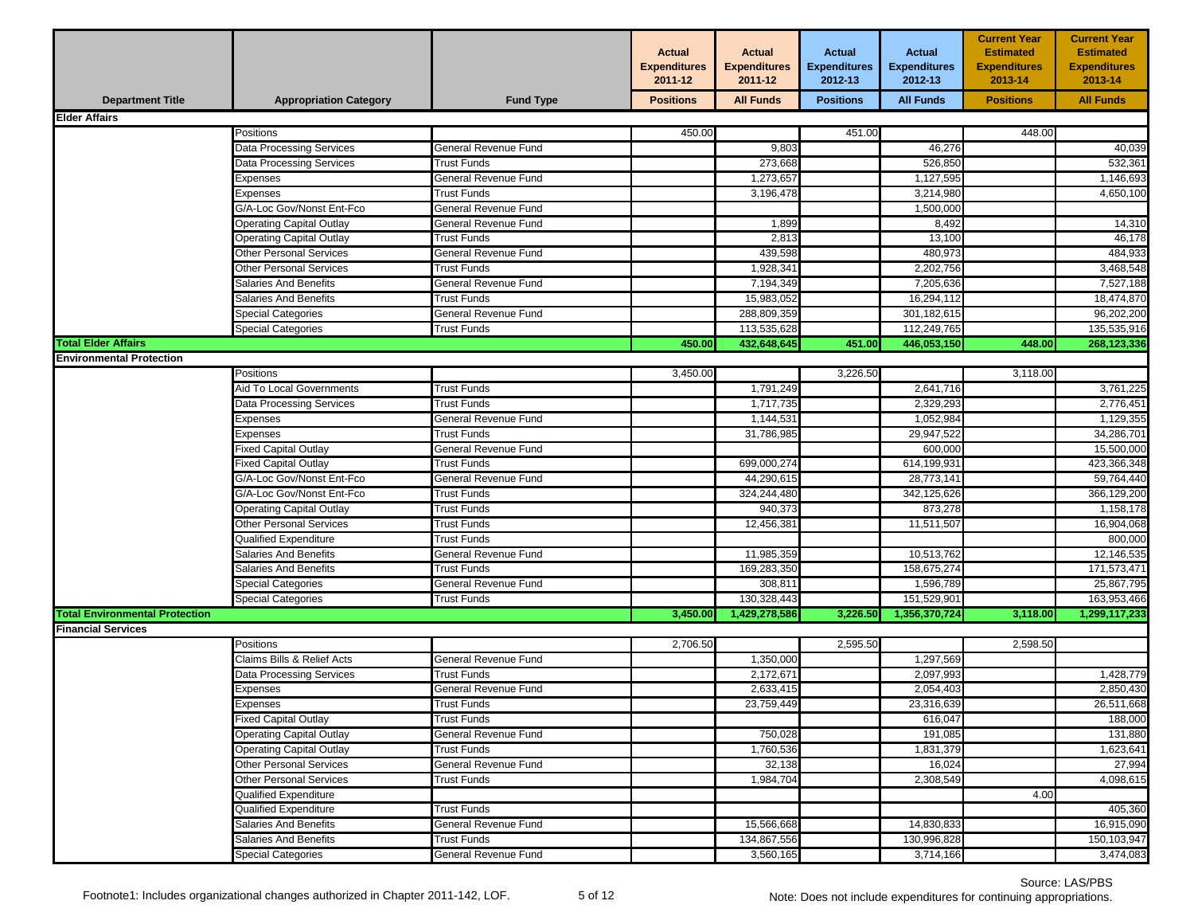|                                       |                                  |                             | <b>Actual</b><br><b>Expenditures</b><br>2011-12 | <b>Actual</b><br><b>Expenditures</b><br>2011-12 | <b>Actual</b><br><b>Expenditures</b><br>2012-13 | <b>Actual</b><br><b>Expenditures</b><br>2012-13 | <b>Current Year</b><br><b>Estimated</b><br><b>Expenditures</b><br>2013-14 | <b>Current Year</b><br><b>Estimated</b><br><b>Expenditures</b><br>2013-14 |
|---------------------------------------|----------------------------------|-----------------------------|-------------------------------------------------|-------------------------------------------------|-------------------------------------------------|-------------------------------------------------|---------------------------------------------------------------------------|---------------------------------------------------------------------------|
| <b>Department Title</b>               | <b>Appropriation Category</b>    | <b>Fund Type</b>            | <b>Positions</b>                                | <b>All Funds</b>                                | <b>Positions</b>                                | <b>All Funds</b>                                | <b>Positions</b>                                                          | <b>All Funds</b>                                                          |
| <b>Elder Affairs</b>                  |                                  |                             |                                                 |                                                 |                                                 |                                                 |                                                                           |                                                                           |
|                                       | Positions                        |                             | 450.00                                          |                                                 | 451.00                                          |                                                 | 448.00                                                                    |                                                                           |
|                                       | <b>Data Processing Services</b>  | General Revenue Fund        |                                                 | 9,803                                           |                                                 | 46,276                                          |                                                                           | 40,039                                                                    |
|                                       | Data Processing Services         | <b>Trust Funds</b>          |                                                 | 273,668                                         |                                                 | 526,850                                         |                                                                           | 532,361                                                                   |
|                                       | Expenses                         | General Revenue Fund        |                                                 | 1,273,657                                       |                                                 | 1,127,595                                       |                                                                           | 1,146,693                                                                 |
|                                       | Expenses                         | Trust Funds                 |                                                 | 3,196,478                                       |                                                 | 3,214,980                                       |                                                                           | 4,650,100                                                                 |
|                                       | <b>G/A-Loc Gov/Nonst Ent-Fco</b> | General Revenue Fund        |                                                 |                                                 |                                                 | 1,500,000                                       |                                                                           |                                                                           |
|                                       | <b>Operating Capital Outlay</b>  | General Revenue Fund        |                                                 | 1,899                                           |                                                 | 8,492                                           |                                                                           | 14,310                                                                    |
|                                       | <b>Operating Capital Outlay</b>  | Trust Funds                 |                                                 | 2,813                                           |                                                 | 13,100                                          |                                                                           | 46,178                                                                    |
|                                       | <b>Other Personal Services</b>   | General Revenue Fund        |                                                 | 439,598                                         |                                                 | 480,973                                         |                                                                           | 484,933                                                                   |
|                                       | Other Personal Services          | Trust Funds                 |                                                 | 1,928,341                                       |                                                 | 2,202,756                                       |                                                                           | 3,468,548                                                                 |
|                                       | <b>Salaries And Benefits</b>     | General Revenue Fund        |                                                 | 7,194,349                                       |                                                 | 7,205,636                                       |                                                                           | 7,527,188                                                                 |
|                                       | <b>Salaries And Benefits</b>     | <b>Trust Funds</b>          |                                                 | 15,983,052                                      |                                                 | 16,294,112                                      |                                                                           | 18,474,870                                                                |
|                                       | <b>Special Categories</b>        | General Revenue Fund        |                                                 | 288,809,359                                     |                                                 | 301,182,615                                     |                                                                           | 96,202,200                                                                |
|                                       | Special Categories               | <b>Trust Funds</b>          |                                                 | 113,535,628                                     |                                                 | 112,249,765                                     |                                                                           | 135,535,916                                                               |
| <b>Total Elder Affairs</b>            |                                  |                             | 450.00                                          | 432,648,645                                     | 451.00                                          | 446,053,150                                     | 448.00                                                                    | 268,123,336                                                               |
| <b>Environmental Protection</b>       |                                  |                             |                                                 |                                                 |                                                 |                                                 |                                                                           |                                                                           |
|                                       | <b>Positions</b>                 |                             | 3,450.00                                        |                                                 | 3,226.50                                        |                                                 | 3,118.00                                                                  |                                                                           |
|                                       | Aid To Local Governments         | <b>Trust Funds</b>          |                                                 | 1,791,249                                       |                                                 | 2,641,716                                       |                                                                           | 3,761,225                                                                 |
|                                       | <b>Data Processing Services</b>  | <b>Trust Funds</b>          |                                                 | 1,717,735                                       |                                                 | 2,329,293                                       |                                                                           | 2,776,451                                                                 |
|                                       | Expenses                         | General Revenue Fund        |                                                 | 1,144,531                                       |                                                 | 1,052,984                                       |                                                                           | 1,129,355                                                                 |
|                                       | Expenses                         | <b>Trust Funds</b>          |                                                 | 31,786,985                                      |                                                 | 29,947,522                                      |                                                                           | 34,286,701                                                                |
|                                       | Fixed Capital Outlay             | General Revenue Fund        |                                                 |                                                 |                                                 | 600,000                                         |                                                                           | 15,500,000                                                                |
|                                       | <b>Fixed Capital Outlay</b>      | Trust Funds                 |                                                 | 699,000,274                                     |                                                 | 614,199,931                                     |                                                                           | 423,366,348                                                               |
|                                       | G/A-Loc Gov/Nonst Ent-Fco        | General Revenue Fund        |                                                 | 44,290,615                                      |                                                 | 28,773,141                                      |                                                                           | 59,764,440                                                                |
|                                       | G/A-Loc Gov/Nonst Ent-Fco        | <b>Trust Funds</b>          |                                                 | 324,244,480                                     |                                                 | 342,125,626                                     |                                                                           | 366,129,200                                                               |
|                                       | Operating Capital Outlay         | Trust Funds                 |                                                 | 940,373                                         |                                                 | 873,278                                         |                                                                           | 1,158,178                                                                 |
|                                       | <b>Other Personal Services</b>   | <b>Trust Funds</b>          |                                                 | 12,456,381                                      |                                                 | 11,511,507                                      |                                                                           | 16,904,068                                                                |
|                                       | Qualified Expenditure            | <b>Trust Funds</b>          |                                                 |                                                 |                                                 |                                                 |                                                                           | 800,000                                                                   |
|                                       | <b>Salaries And Benefits</b>     | General Revenue Fund        |                                                 | 11,985,359                                      |                                                 | 10,513,762                                      |                                                                           | 12,146,535                                                                |
|                                       | <b>Salaries And Benefits</b>     | <b>Trust Funds</b>          |                                                 | 169,283,350                                     |                                                 | 158,675,274                                     |                                                                           | 171,573,471                                                               |
|                                       | Special Categories               | <b>General Revenue Fund</b> |                                                 | 308,811                                         |                                                 | 1,596,789                                       |                                                                           | 25,867,795                                                                |
|                                       | Special Categories               | <b>Trust Funds</b>          |                                                 | 130,328,443                                     |                                                 | 151,529,901                                     |                                                                           | 163,953,466                                                               |
| <b>Total Environmental Protection</b> |                                  |                             | 3,450.00                                        | 1,429,278,586                                   | 3,226.50                                        | 1,356,370,724                                   | 3,118.00                                                                  | 1,299,117,233                                                             |
| <b>Financial Services</b>             |                                  |                             |                                                 |                                                 |                                                 |                                                 |                                                                           |                                                                           |
|                                       | Positions                        |                             | 2,706.50                                        |                                                 | 2,595.50                                        |                                                 | 2,598.50                                                                  |                                                                           |
|                                       | Claims Bills & Relief Acts       | General Revenue Fund        |                                                 | 1,350,000                                       |                                                 | 1,297,569                                       |                                                                           |                                                                           |
|                                       | Data Processing Services         | <b>Trust Funds</b>          |                                                 | 2,172,671                                       |                                                 | 2,097,993                                       |                                                                           | 1,428,779                                                                 |
|                                       | Expenses                         | General Revenue Fund        |                                                 | 2,633,415                                       |                                                 | 2,054,403                                       |                                                                           | 2,850,430                                                                 |
|                                       | Expenses                         | <b>Trust Funds</b>          |                                                 | 23,759,449                                      |                                                 | 23,316,639                                      |                                                                           | 26,511,668                                                                |
|                                       | <b>Fixed Capital Outlay</b>      | Trust Funds                 |                                                 |                                                 |                                                 | 616,047                                         |                                                                           | 188,000                                                                   |
|                                       | <b>Operating Capital Outlay</b>  | General Revenue Fund        |                                                 | 750,028                                         |                                                 | 191,085                                         |                                                                           | 131,880                                                                   |
|                                       | <b>Operating Capital Outlay</b>  | <b>Trust Funds</b>          |                                                 | 1,760,536                                       |                                                 | 1,831,379                                       |                                                                           | 1,623,641                                                                 |
|                                       | <b>Other Personal Services</b>   | General Revenue Fund        |                                                 | 32,138                                          |                                                 | 16,024                                          |                                                                           | 27,994                                                                    |
|                                       | Other Personal Services          | Trust Funds                 |                                                 | 1,984,704                                       |                                                 | 2,308,549                                       |                                                                           | 4,098,615                                                                 |
|                                       | <b>Qualified Expenditure</b>     |                             |                                                 |                                                 |                                                 |                                                 | 4.00                                                                      |                                                                           |
|                                       | <b>Qualified Expenditure</b>     | <b>Trust Funds</b>          |                                                 |                                                 |                                                 |                                                 |                                                                           | 405,360                                                                   |
|                                       | Salaries And Benefits            | General Revenue Fund        |                                                 | 15,566,668                                      |                                                 | 14,830,833                                      |                                                                           | 16,915,090                                                                |
|                                       | Salaries And Benefits            | Trust Funds                 |                                                 | 134,867,556                                     |                                                 | 130,996,828                                     |                                                                           | 150,103,947                                                               |
|                                       | <b>Special Categories</b>        | General Revenue Fund        |                                                 | 3,560,165                                       |                                                 | 3,714,166                                       |                                                                           | 3,474,083                                                                 |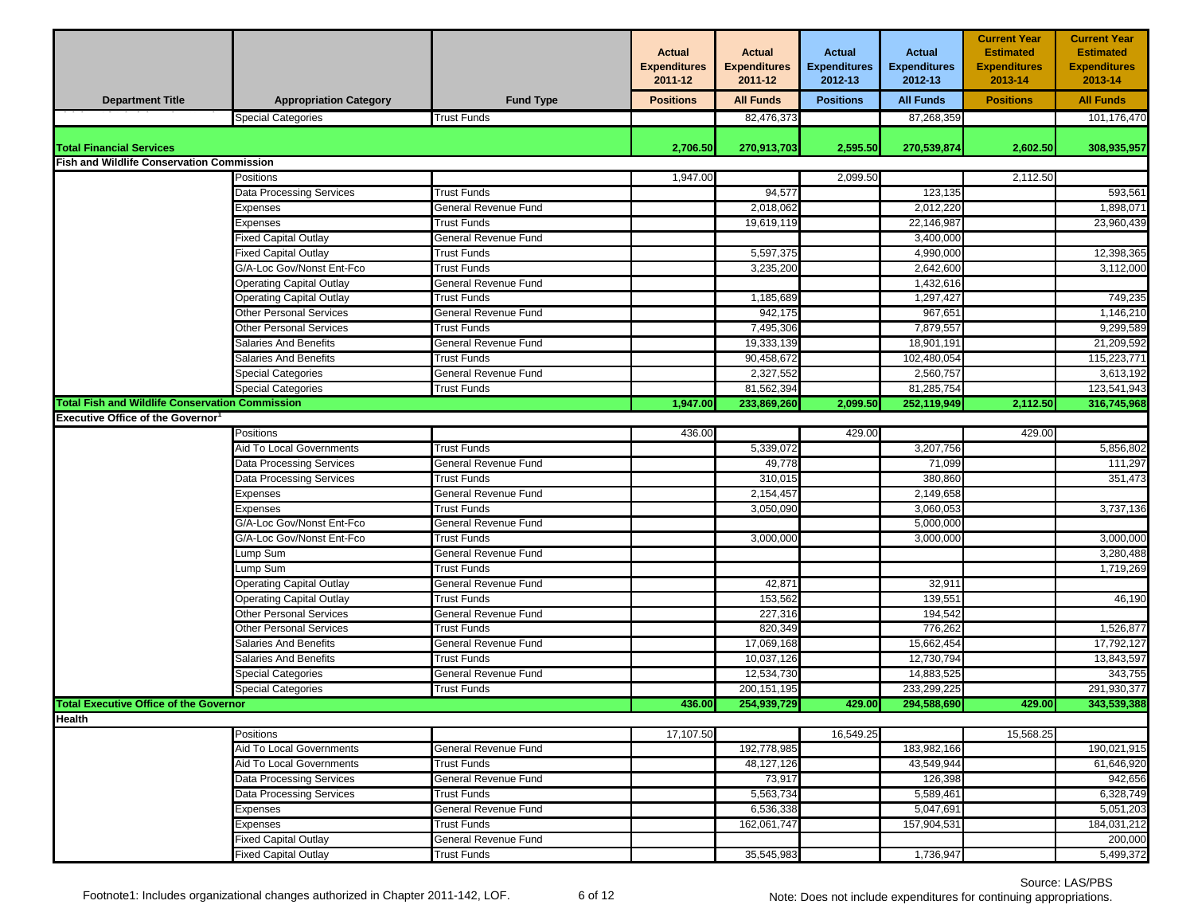|                                                        |                                 |                      | <b>Actual</b><br><b>Expenditures</b><br>2011-12 | <b>Actual</b><br><b>Expenditures</b><br>2011-12 | <b>Actual</b><br><b>Expenditures</b><br>2012-13 | <b>Actual</b><br><b>Expenditures</b><br>2012-13 | <b>Current Year</b><br><b>Estimated</b><br><b>Expenditures</b><br>2013-14 | <b>Current Year</b><br><b>Estimated</b><br><b>Expenditures</b><br>2013-14 |
|--------------------------------------------------------|---------------------------------|----------------------|-------------------------------------------------|-------------------------------------------------|-------------------------------------------------|-------------------------------------------------|---------------------------------------------------------------------------|---------------------------------------------------------------------------|
| <b>Department Title</b>                                | <b>Appropriation Category</b>   | <b>Fund Type</b>     | <b>Positions</b>                                | <b>All Funds</b>                                | <b>Positions</b>                                | <b>All Funds</b>                                | <b>Positions</b>                                                          | <b>All Funds</b>                                                          |
|                                                        | <b>Special Categories</b>       | <b>Trust Funds</b>   |                                                 | 82,476,373                                      |                                                 | 87,268,359                                      |                                                                           | 101,176,470                                                               |
| <b>Total Financial Services</b>                        |                                 |                      | 2,706.50                                        |                                                 | 2,595.50                                        |                                                 | 2,602.50                                                                  |                                                                           |
| <b>Fish and Wildlife Conservation Commission</b>       |                                 |                      |                                                 | 270,913,703                                     |                                                 | 270,539,874                                     |                                                                           | 308,935,957                                                               |
|                                                        | Positions                       |                      | 1,947.00                                        |                                                 | 2,099.50                                        |                                                 | 2,112.50                                                                  |                                                                           |
|                                                        | Data Processing Services        | Trust Funds          |                                                 | 94,577                                          |                                                 | 123,135                                         |                                                                           | 593,561                                                                   |
|                                                        | Expenses                        | General Revenue Fund |                                                 | 2,018,062                                       |                                                 | 2,012,220                                       |                                                                           | 1,898,071                                                                 |
|                                                        | Expenses                        | <b>Trust Funds</b>   |                                                 | 19,619,119                                      |                                                 | 22,146,987                                      |                                                                           | 23,960,439                                                                |
|                                                        | Fixed Capital Outlay            | General Revenue Fund |                                                 |                                                 |                                                 | 3,400,000                                       |                                                                           |                                                                           |
|                                                        | Fixed Capital Outlay            | <b>Trust Funds</b>   |                                                 | 5,597,375                                       |                                                 | 4,990,000                                       |                                                                           | 12,398,365                                                                |
|                                                        | G/A-Loc Gov/Nonst Ent-Fco       | Trust Funds          |                                                 | 3,235,200                                       |                                                 | 2,642,600                                       |                                                                           | 3,112,000                                                                 |
|                                                        | Operating Capital Outlay        | General Revenue Fund |                                                 |                                                 |                                                 | 1,432,616                                       |                                                                           |                                                                           |
|                                                        | <b>Operating Capital Outlay</b> | <b>Trust Funds</b>   |                                                 | 1,185,689                                       |                                                 | 1,297,427                                       |                                                                           | 749,235                                                                   |
|                                                        | <b>Other Personal Services</b>  | General Revenue Fund |                                                 | 942,175                                         |                                                 | 967,651                                         |                                                                           | 1,146,210                                                                 |
|                                                        | Other Personal Services         | Trust Funds          |                                                 | 7,495,306                                       |                                                 | 7,879,557                                       |                                                                           | 9,299,589                                                                 |
|                                                        | <b>Salaries And Benefits</b>    | General Revenue Fund |                                                 | 19,333,139                                      |                                                 | 18,901,191                                      |                                                                           | 21,209,592                                                                |
|                                                        | <b>Salaries And Benefits</b>    | <b>Trust Funds</b>   |                                                 | 90.458.672                                      |                                                 | 102,480,054                                     |                                                                           | 115,223,771                                                               |
|                                                        | Special Categories              | General Revenue Fund |                                                 | 2,327,552                                       |                                                 | 2,560,757                                       |                                                                           | 3,613,192                                                                 |
|                                                        | Special Categories              | <b>Trust Funds</b>   |                                                 | 81,562,394                                      |                                                 | 81,285,754                                      |                                                                           | 123,541,943                                                               |
| <b>Total Fish and Wildlife Conservation Commission</b> |                                 |                      | 1,947.00                                        | 233,869,260                                     | 2,099.50                                        | 252,119,949                                     | 2,112.50                                                                  | 316,745,968                                                               |
| <b>Executive Office of the Governor</b>                |                                 |                      |                                                 |                                                 |                                                 |                                                 |                                                                           |                                                                           |
|                                                        | Positions                       |                      | 436.00                                          |                                                 | 429.00                                          |                                                 | 429.00                                                                    |                                                                           |
|                                                        | Aid To Local Governments        | <b>Trust Funds</b>   |                                                 | 5,339,072                                       |                                                 | 3,207,756                                       |                                                                           | 5,856,802                                                                 |
|                                                        | Data Processing Services        | General Revenue Fund |                                                 | 49,778                                          |                                                 | 71,099                                          |                                                                           | 111,297                                                                   |
|                                                        | Data Processing Services        | <b>Trust Funds</b>   |                                                 | 310,015                                         |                                                 | 380,860                                         |                                                                           | 351,473                                                                   |
|                                                        | Expenses                        | General Revenue Fund |                                                 | 2,154,457                                       |                                                 | 2,149,658                                       |                                                                           |                                                                           |
|                                                        | Expenses                        | <b>Trust Funds</b>   |                                                 | 3,050,090                                       |                                                 | 3,060,053                                       |                                                                           | 3,737,136                                                                 |
|                                                        | G/A-Loc Gov/Nonst Ent-Fco       | General Revenue Fund |                                                 |                                                 |                                                 | 5,000,000                                       |                                                                           |                                                                           |
|                                                        | G/A-Loc Gov/Nonst Ent-Fco       | <b>Trust Funds</b>   |                                                 | 3,000,000                                       |                                                 | 3,000,000                                       |                                                                           | 3,000,000                                                                 |
|                                                        | ump Sum                         | General Revenue Fund |                                                 |                                                 |                                                 |                                                 |                                                                           | 3,280,488                                                                 |
|                                                        | ump Sum                         | <b>Trust Funds</b>   |                                                 |                                                 |                                                 |                                                 |                                                                           | 1,719,269                                                                 |
|                                                        | <b>Operating Capital Outlay</b> | General Revenue Fund |                                                 | 42,871                                          |                                                 | 32,911                                          |                                                                           |                                                                           |
|                                                        | Operating Capital Outlay        | <b>Trust Funds</b>   |                                                 | 153,562                                         |                                                 | 139,551                                         |                                                                           | 46,190                                                                    |
|                                                        | Other Personal Services         | General Revenue Fund |                                                 | 227,316                                         |                                                 | 194,542                                         |                                                                           |                                                                           |
|                                                        | <b>Other Personal Services</b>  | <b>Trust Funds</b>   |                                                 | 820,349                                         |                                                 | 776,262                                         |                                                                           | 1,526,877                                                                 |
|                                                        | <b>Salaries And Benefits</b>    | General Revenue Fund |                                                 | 17,069,168                                      |                                                 | 15,662,454                                      |                                                                           | 17,792,127                                                                |
|                                                        | Salaries And Benefits           | <b>Trust Funds</b>   |                                                 | 10,037,126                                      |                                                 | 12,730,794                                      |                                                                           | 13,843,597                                                                |
|                                                        | Special Categories              | General Revenue Fund |                                                 | 12,534,730                                      |                                                 | 14,883,525                                      |                                                                           | 343,755                                                                   |
|                                                        | Special Categories              | Trust Funds          |                                                 | 200, 151, 195                                   |                                                 | 233,299,225                                     |                                                                           | 291,930,377                                                               |
| <b>Total Executive Office of the Governor</b>          |                                 |                      | 436.00                                          | 254.939.729                                     | 429.00                                          | 294,588,690                                     | 429.00                                                                    | 343,539,388                                                               |
| <b>Health</b>                                          |                                 |                      |                                                 |                                                 |                                                 |                                                 |                                                                           |                                                                           |
|                                                        | Positions                       |                      | 17,107.50                                       |                                                 | 16.549.25                                       |                                                 | 15,568.25                                                                 |                                                                           |
|                                                        | Aid To Local Governments        | General Revenue Fund |                                                 | 192,778,985                                     |                                                 | 183,982,166                                     |                                                                           | 190,021,915                                                               |
|                                                        | Aid To Local Governments        | Trust Funds          |                                                 | 48,127,126                                      |                                                 | 43,549,944                                      |                                                                           | 61,646,920                                                                |
|                                                        | Data Processing Services        | General Revenue Fund |                                                 | 73,917                                          |                                                 | 126,398                                         |                                                                           | 942,656                                                                   |
|                                                        | Data Processing Services        | Trust Funds          |                                                 | 5,563,734                                       |                                                 | 5,589,461                                       |                                                                           | 6,328,749                                                                 |
|                                                        | Expenses                        | General Revenue Fund |                                                 | 6,536,338                                       |                                                 | 5,047,691                                       |                                                                           | 5,051,203                                                                 |
|                                                        | Expenses                        | <b>Trust Funds</b>   |                                                 | 162,061,747                                     |                                                 | 157,904,531                                     |                                                                           | 184,031,212                                                               |
|                                                        | <b>Fixed Capital Outlay</b>     | General Revenue Fund |                                                 |                                                 |                                                 |                                                 |                                                                           | 200,000                                                                   |
|                                                        | <b>Fixed Capital Outlay</b>     | Trust Funds          |                                                 | 35,545,983                                      |                                                 | 1,736,947                                       |                                                                           | 5,499,372                                                                 |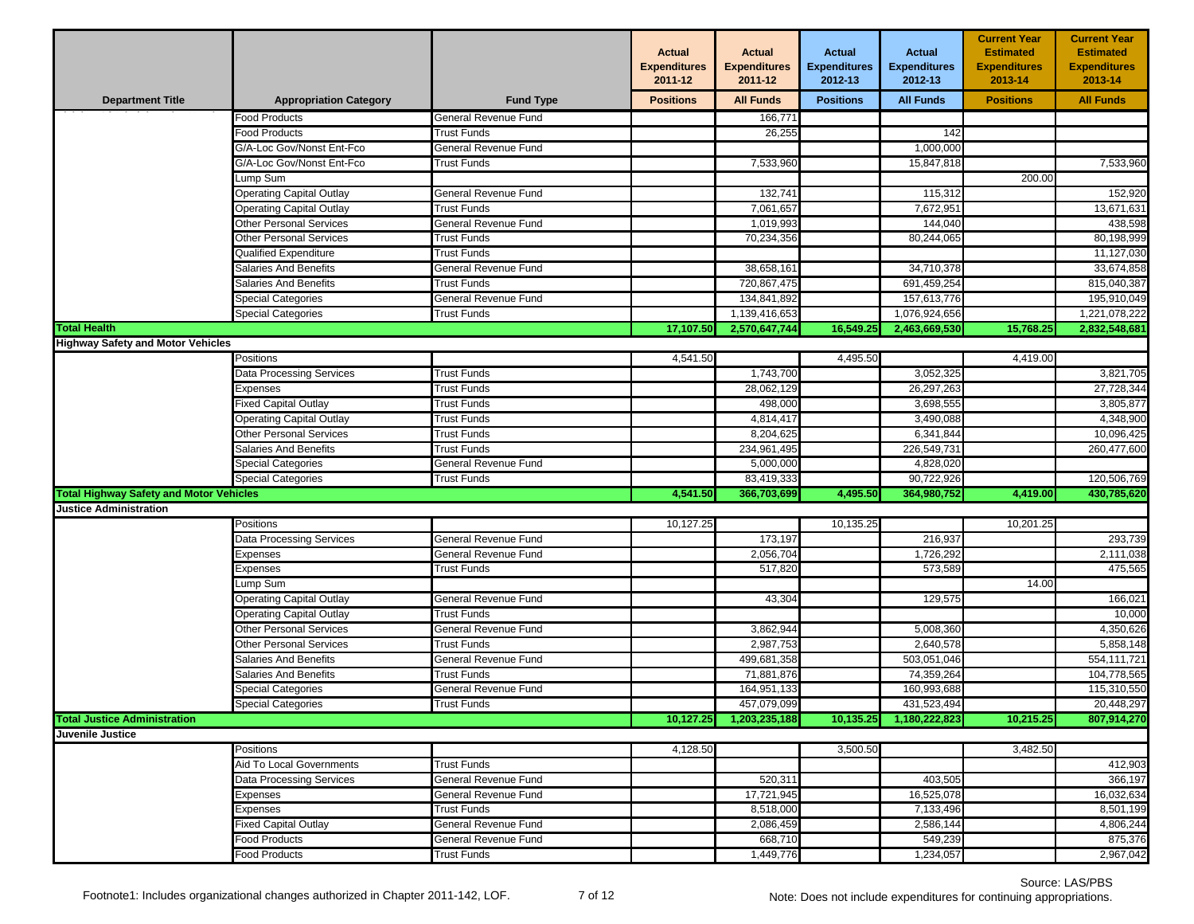|                                                |                                 |                      | <b>Actual</b><br><b>Expenditures</b><br>2011-12 | <b>Actual</b><br><b>Expenditures</b><br>2011-12 | <b>Actual</b><br><b>Expenditures</b><br>2012-13 | <b>Actual</b><br><b>Expenditures</b><br>2012-13 | <b>Current Year</b><br><b>Estimated</b><br><b>Expenditures</b><br>2013-14 | <b>Current Year</b><br><b>Estimated</b><br><b>Expenditures</b><br>2013-14 |
|------------------------------------------------|---------------------------------|----------------------|-------------------------------------------------|-------------------------------------------------|-------------------------------------------------|-------------------------------------------------|---------------------------------------------------------------------------|---------------------------------------------------------------------------|
| <b>Department Title</b>                        | <b>Appropriation Category</b>   | <b>Fund Type</b>     | <b>Positions</b>                                | <b>All Funds</b>                                | <b>Positions</b>                                | <b>All Funds</b>                                | <b>Positions</b>                                                          | <b>All Funds</b>                                                          |
|                                                | Food Products                   | General Revenue Fund |                                                 | 166,771                                         |                                                 |                                                 |                                                                           |                                                                           |
|                                                | <b>Food Products</b>            | Trust Funds          |                                                 | 26,255                                          |                                                 | 142                                             |                                                                           |                                                                           |
|                                                | G/A-Loc Gov/Nonst Ent-Fco       | General Revenue Fund |                                                 |                                                 |                                                 | 1,000,000                                       |                                                                           |                                                                           |
|                                                | G/A-Loc Gov/Nonst Ent-Fco       | Trust Funds          |                                                 | 7,533,960                                       |                                                 | 15,847,818                                      |                                                                           | 7,533,960                                                                 |
|                                                | Lump Sum                        |                      |                                                 |                                                 |                                                 |                                                 | 200.00                                                                    |                                                                           |
|                                                | <b>Operating Capital Outlay</b> | General Revenue Fund |                                                 | 132,741                                         |                                                 | 115,312                                         |                                                                           | 152,920                                                                   |
|                                                | <b>Operating Capital Outlay</b> | <b>Trust Funds</b>   |                                                 | 7,061,657                                       |                                                 | 7,672,951                                       |                                                                           | 13,671,631                                                                |
|                                                | <b>Other Personal Services</b>  | General Revenue Fund |                                                 | 1,019,993                                       |                                                 | 144,040                                         |                                                                           | 438,598                                                                   |
|                                                | <b>Other Personal Services</b>  | <b>Trust Funds</b>   |                                                 | 70,234,356                                      |                                                 | 80,244,065                                      |                                                                           | 80,198,999                                                                |
|                                                | Qualified Expenditure           | Trust Funds          |                                                 |                                                 |                                                 |                                                 |                                                                           | 11,127,030                                                                |
|                                                | Salaries And Benefits           | General Revenue Fund |                                                 | 38,658,161                                      |                                                 | 34,710,378                                      |                                                                           | 33,674,858                                                                |
|                                                | Salaries And Benefits           | <b>Trust Funds</b>   |                                                 | 720,867,475                                     |                                                 | 691,459,254                                     |                                                                           | 815,040,387                                                               |
|                                                | Special Categories              | General Revenue Fund |                                                 | 134,841,892                                     |                                                 | 157,613,776                                     |                                                                           | 195,910,049                                                               |
|                                                | Special Categories              | Trust Funds          |                                                 | 1,139,416,653                                   |                                                 | 1,076,924,656                                   |                                                                           | 1,221,078,222                                                             |
| <b>Total Health</b>                            |                                 |                      | 17,107.50                                       | 2,570,647,744                                   | 16,549.25                                       | 2,463,669,530                                   | 15,768.25                                                                 | 2,832,548,681                                                             |
| <b>Highway Safety and Motor Vehicles</b>       |                                 |                      |                                                 |                                                 |                                                 |                                                 |                                                                           |                                                                           |
|                                                | Positions                       |                      | 4,541.50                                        |                                                 | 4,495.50                                        |                                                 | 4,419.00                                                                  |                                                                           |
|                                                | Data Processing Services        | <b>Trust Funds</b>   |                                                 | 1,743,700                                       |                                                 | 3,052,325                                       |                                                                           | 3,821,705                                                                 |
|                                                | Expenses                        | <b>Trust Funds</b>   |                                                 | 28,062,129                                      |                                                 | 26,297,263                                      |                                                                           | 27,728,344                                                                |
|                                                | Fixed Capital Outlay            | Trust Funds          |                                                 | 498,000                                         |                                                 | 3,698,555                                       |                                                                           | 3,805,877                                                                 |
|                                                | Operating Capital Outlay        | <b>Trust Funds</b>   |                                                 | 4,814,417                                       |                                                 | 3,490,088                                       |                                                                           | 4.348.900                                                                 |
|                                                | Other Personal Services         | Trust Funds          |                                                 | 8.204.625                                       |                                                 | 6,341,844                                       |                                                                           | 10,096,425                                                                |
|                                                | Salaries And Benefits           | <b>Trust Funds</b>   |                                                 | 234,961,495                                     |                                                 | 226,549,731                                     |                                                                           | 260,477,600                                                               |
|                                                | <b>Special Categories</b>       | General Revenue Fund |                                                 | 5,000,000                                       |                                                 | 4,828,020                                       |                                                                           |                                                                           |
|                                                | <b>Special Categories</b>       | Trust Funds          |                                                 | 83,419,333                                      |                                                 | 90,722,926                                      |                                                                           | 120,506,769                                                               |
| <b>Total Highway Safety and Motor Vehicles</b> |                                 |                      | 4,541.50                                        | 366,703,699                                     | 4,495.50                                        | 364,980,752                                     | 4,419.00                                                                  | 430,785,620                                                               |
| <b>Justice Administration</b>                  |                                 |                      |                                                 |                                                 |                                                 |                                                 |                                                                           |                                                                           |
|                                                | Positions                       |                      | 10,127.25                                       |                                                 | 10,135.25                                       |                                                 | 10,201.25                                                                 |                                                                           |
|                                                | <b>Data Processing Services</b> | General Revenue Fund |                                                 | 173,197                                         |                                                 | 216,937                                         |                                                                           | 293,739                                                                   |
|                                                | Expenses                        | General Revenue Fund |                                                 | 2,056,704                                       |                                                 | 1,726,292                                       |                                                                           | 2,111,038                                                                 |
|                                                | Expenses                        | Trust Funds          |                                                 | 517,820                                         |                                                 | 573,589                                         |                                                                           | 475,565                                                                   |
|                                                | Lump Sum                        |                      |                                                 |                                                 |                                                 |                                                 | 14.00                                                                     |                                                                           |
|                                                | <b>Operating Capital Outlay</b> | General Revenue Fund |                                                 | 43,304                                          |                                                 | 129,575                                         |                                                                           | 166,021                                                                   |
|                                                | <b>Operating Capital Outlay</b> | <b>Trust Funds</b>   |                                                 |                                                 |                                                 |                                                 |                                                                           | 10,000                                                                    |
|                                                | Other Personal Services         | General Revenue Fund |                                                 | 3,862,944                                       |                                                 | 5,008,360                                       |                                                                           | 4,350,626                                                                 |
|                                                | <b>Other Personal Services</b>  | <b>Trust Funds</b>   |                                                 | 2,987,753                                       |                                                 | 2,640,578                                       |                                                                           | 5,858,148                                                                 |
|                                                | Salaries And Benefits           | General Revenue Fund |                                                 | 499,681,358                                     |                                                 | 503,051,046                                     |                                                                           | 554,111,721                                                               |
|                                                | Salaries And Benefits           | Trust Funds          |                                                 | 71,881,876                                      |                                                 | 74,359,264                                      |                                                                           | 104,778,565                                                               |
|                                                | <b>Special Categories</b>       | General Revenue Fund |                                                 | 164,951,133                                     |                                                 | 160,993,688                                     |                                                                           | 115,310,550                                                               |
|                                                | <b>Special Categories</b>       | <b>Trust Funds</b>   |                                                 | 457,079,099                                     |                                                 | 431,523,494                                     |                                                                           | 20,448,297                                                                |
| <b>Total Justice Administration</b>            |                                 |                      | 10,127.25                                       | 1,203,235,188                                   | 10,135.25                                       | 1,180,222,823                                   | 10,215.25                                                                 | 807,914,270                                                               |
| Juvenile Justice                               |                                 |                      |                                                 |                                                 |                                                 |                                                 |                                                                           |                                                                           |
|                                                | Positions                       |                      | 4,128.50                                        |                                                 | 3,500.50                                        |                                                 | 3,482.50                                                                  |                                                                           |
|                                                | Aid To Local Governments        | <b>Trust Funds</b>   |                                                 |                                                 |                                                 |                                                 |                                                                           | 412,903                                                                   |
|                                                | Data Processing Services        | General Revenue Fund |                                                 | 520,311                                         |                                                 | 403,505                                         |                                                                           | 366,197                                                                   |
|                                                | Expenses                        | General Revenue Fund |                                                 | 17,721,945                                      |                                                 | 16,525,078                                      |                                                                           | 16,032,634                                                                |
|                                                | Expenses                        | <b>Trust Funds</b>   |                                                 | 8,518,000                                       |                                                 | 7,133,496                                       |                                                                           | 8,501,199                                                                 |
|                                                | <b>Fixed Capital Outlay</b>     | General Revenue Fund |                                                 | 2,086,459                                       |                                                 | 2,586,144                                       |                                                                           | 4,806,244                                                                 |
|                                                | Food Products                   | General Revenue Fund |                                                 | 668,710                                         |                                                 | 549,239                                         |                                                                           | 875,376                                                                   |
|                                                | Food Products                   | <b>Trust Funds</b>   |                                                 | 1,449,776                                       |                                                 | 1,234,057                                       |                                                                           | 2,967,042                                                                 |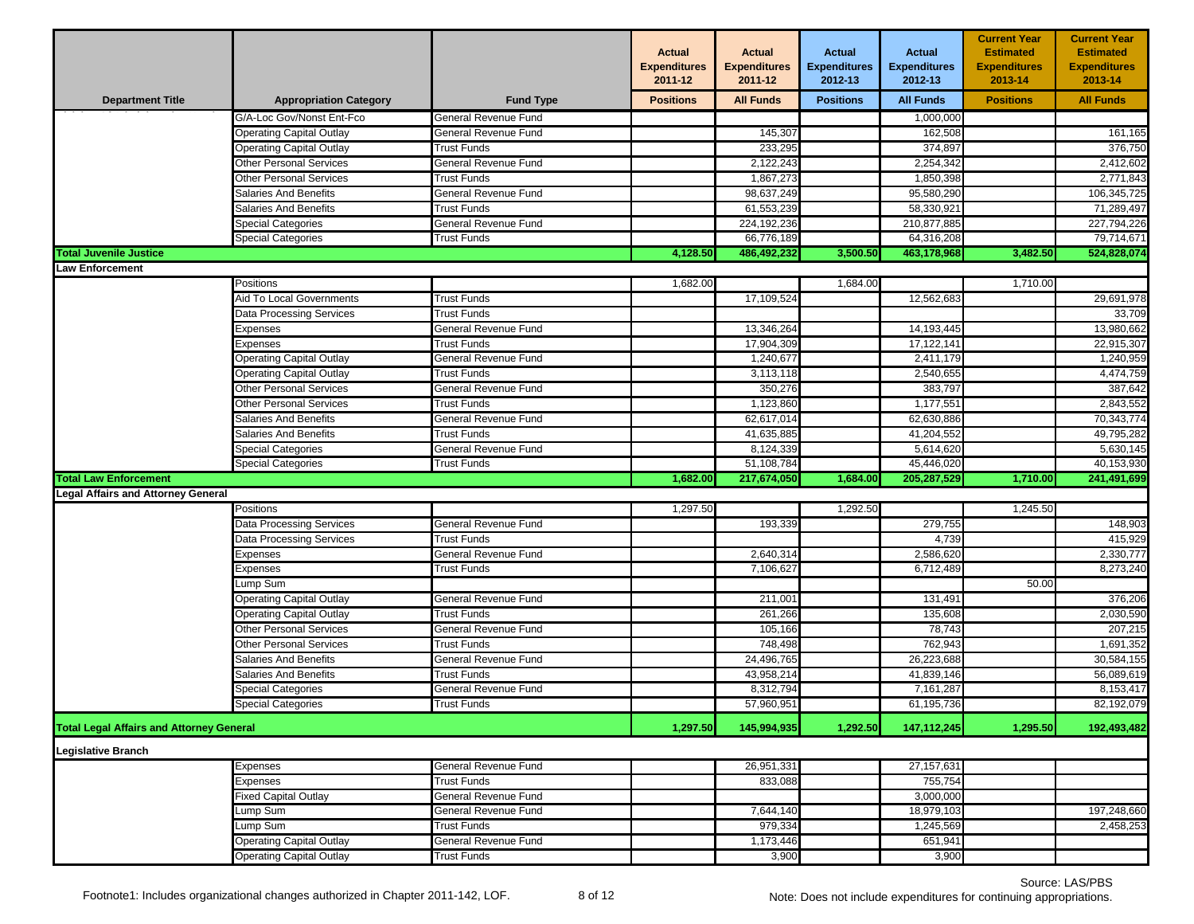|                                                 |                                 |                             | <b>Actual</b><br><b>Expenditures</b><br>2011-12 | <b>Actual</b><br><b>Expenditures</b><br>2011-12 | <b>Actual</b><br><b>Expenditures</b><br>2012-13 | <b>Actual</b><br><b>Expenditures</b><br>2012-13 | <b>Current Year</b><br><b>Estimated</b><br><b>Expenditures</b><br>2013-14 | <b>Current Year</b><br><b>Estimated</b><br><b>Expenditures</b><br>2013-14 |
|-------------------------------------------------|---------------------------------|-----------------------------|-------------------------------------------------|-------------------------------------------------|-------------------------------------------------|-------------------------------------------------|---------------------------------------------------------------------------|---------------------------------------------------------------------------|
| <b>Department Title</b>                         | <b>Appropriation Category</b>   | <b>Fund Type</b>            | <b>Positions</b>                                | <b>All Funds</b>                                | <b>Positions</b>                                | <b>All Funds</b>                                | <b>Positions</b>                                                          | <b>All Funds</b>                                                          |
|                                                 | G/A-Loc Gov/Nonst Ent-Fco       | General Revenue Fund        |                                                 |                                                 |                                                 | 1,000,000                                       |                                                                           |                                                                           |
|                                                 | Operating Capital Outlay        | General Revenue Fund        |                                                 | 145,307                                         |                                                 | 162,508                                         |                                                                           | 161,165                                                                   |
|                                                 | Operating Capital Outlay        | <b>Trust Funds</b>          |                                                 | 233,295                                         |                                                 | 374,897                                         |                                                                           | 376,750                                                                   |
|                                                 | Other Personal Services         | General Revenue Fund        |                                                 | 2,122,243                                       |                                                 | 2,254,342                                       |                                                                           | 2,412,602                                                                 |
|                                                 | Other Personal Services         | Trust Funds                 |                                                 | 1,867,273                                       |                                                 | 1,850,398                                       |                                                                           | 2,771,843                                                                 |
|                                                 | <b>Salaries And Benefits</b>    | General Revenue Fund        |                                                 | 98,637,249                                      |                                                 | 95,580,290                                      |                                                                           | 106,345,725                                                               |
|                                                 | <b>Salaries And Benefits</b>    | <b>Trust Funds</b>          |                                                 | 61,553,239                                      |                                                 | 58,330,921                                      |                                                                           | 71,289,497                                                                |
|                                                 | Special Categories              | General Revenue Fund        |                                                 | 224,192,236                                     |                                                 | 210,877,885                                     |                                                                           | 227,794,226                                                               |
|                                                 | Special Categories              | Trust Funds                 |                                                 | 66,776,189                                      |                                                 | 64,316,208                                      |                                                                           | 79,714,671                                                                |
| <b>Total Juvenile Justice</b>                   |                                 |                             | 4,128.50                                        | 486,492,232                                     | 3,500.50                                        | 463,178,968                                     | 3,482.50                                                                  | 524,828,074                                                               |
| <b>Law Enforcement</b>                          |                                 |                             |                                                 |                                                 |                                                 |                                                 |                                                                           |                                                                           |
|                                                 | Positions                       |                             | 1,682.00                                        |                                                 | 1,684.00                                        |                                                 | 1,710.00                                                                  |                                                                           |
|                                                 | Aid To Local Governments        | <b>Trust Funds</b>          |                                                 | 17,109,524                                      |                                                 | 12,562,683                                      |                                                                           | 29,691,978                                                                |
|                                                 | Data Processing Services        | <b>Trust Funds</b>          |                                                 |                                                 |                                                 |                                                 |                                                                           | 33,709                                                                    |
|                                                 | Expenses                        | General Revenue Fund        |                                                 | 13,346,264                                      |                                                 | 14,193,445                                      |                                                                           | 13,980,662                                                                |
|                                                 | Expenses                        | Trust Funds                 |                                                 | 17,904,309                                      |                                                 | 17,122,141                                      |                                                                           | 22,915,307                                                                |
|                                                 | <b>Operating Capital Outlay</b> | General Revenue Fund        |                                                 | 1,240,677                                       |                                                 | 2,411,179                                       |                                                                           | 1,240,959                                                                 |
|                                                 | <b>Operating Capital Outlay</b> | <b>Trust Funds</b>          |                                                 | 3,113,118                                       |                                                 | 2,540,655                                       |                                                                           | 4,474,759                                                                 |
|                                                 | <b>Other Personal Services</b>  | General Revenue Fund        |                                                 | 350,276                                         |                                                 | 383,797                                         |                                                                           | 387,642                                                                   |
|                                                 | Other Personal Services         | Trust Funds                 |                                                 | 1,123,860                                       |                                                 | 1,177,551                                       |                                                                           | 2,843,552                                                                 |
|                                                 | Salaries And Benefits           | General Revenue Fund        |                                                 | 62,617,014                                      |                                                 | 62,630,886                                      |                                                                           | 70,343,774                                                                |
|                                                 | <b>Salaries And Benefits</b>    | <b>Trust Funds</b>          |                                                 | 41.635.885                                      |                                                 | 41,204,552                                      |                                                                           | 49,795,282                                                                |
|                                                 | Special Categories              | General Revenue Fund        |                                                 | 8,124,339                                       |                                                 | 5,614,620                                       |                                                                           | 5,630,145                                                                 |
|                                                 | Special Categories              | Trust Funds                 |                                                 | 51,108,784                                      |                                                 | 45,446,020                                      |                                                                           | 40,153,930                                                                |
| <b>Total Law Enforcement</b>                    |                                 |                             | 1,682.00                                        | 217,674,050                                     | 1,684.00                                        | 205,287,529                                     | 1,710.00                                                                  | 241,491,699                                                               |
| <b>Legal Affairs and Attorney General</b>       |                                 |                             |                                                 |                                                 |                                                 |                                                 |                                                                           |                                                                           |
|                                                 | Positions                       |                             | 1,297.50                                        |                                                 | 1,292.50                                        |                                                 | 1,245.50                                                                  |                                                                           |
|                                                 | <b>Data Processing Services</b> | General Revenue Fund        |                                                 | 193,339                                         |                                                 | 279,755                                         |                                                                           | 148,903                                                                   |
|                                                 | Data Processing Services        | Trust Funds                 |                                                 |                                                 |                                                 | 4,739                                           |                                                                           | 415,929                                                                   |
|                                                 | .<br>xpenses                    | General Revenue Fund        |                                                 | 2,640,314                                       |                                                 | 2,586,620                                       |                                                                           | 2,330,777                                                                 |
|                                                 | Expenses                        | <b>Trust Funds</b>          |                                                 | 7,106,627                                       |                                                 | 6,712,489                                       |                                                                           | 8,273,240                                                                 |
|                                                 | ump Sumـ                        |                             |                                                 |                                                 |                                                 |                                                 | 50.00                                                                     |                                                                           |
|                                                 | <b>Dperating Capital Outlay</b> | General Revenue Fund        |                                                 | 211,001                                         |                                                 | 131,491                                         |                                                                           | 376,206                                                                   |
|                                                 | <b>Operating Capital Outlay</b> | <b>Trust Funds</b>          |                                                 | 261,266                                         |                                                 | 135,608                                         |                                                                           | 2,030,590                                                                 |
|                                                 | Other Personal Services         | General Revenue Fund        |                                                 | 105,166                                         |                                                 | 78,743                                          |                                                                           | 207,215                                                                   |
|                                                 | Other Personal Services         | <b>Trust Funds</b>          |                                                 | 748,498                                         |                                                 | 762,943                                         |                                                                           | 1,691,352                                                                 |
|                                                 | <b>Salaries And Benefits</b>    | <b>General Revenue Fund</b> |                                                 | 24,496,765                                      |                                                 | 26,223,688                                      |                                                                           | 30,584,155                                                                |
|                                                 | Salaries And Benefits           | Trust Funds                 |                                                 | 43,958,214                                      |                                                 | 41,839,146                                      |                                                                           | 56,089,619                                                                |
|                                                 | Special Categories              | General Revenue Fund        |                                                 | 8,312,794                                       |                                                 | 7,161,287                                       |                                                                           | 8,153,417                                                                 |
|                                                 | <b>Special Categories</b>       | <b>Trust Funds</b>          |                                                 | 57,960,951                                      |                                                 | 61,195,736                                      |                                                                           | 82,192,079                                                                |
| <b>Total Legal Affairs and Attorney General</b> |                                 |                             | 1,297.50                                        | 145,994,935                                     | 1,292.50                                        | 147, 112, 245                                   | 1,295.50                                                                  | 192,493,482                                                               |
| <b>Legislative Branch</b>                       |                                 |                             |                                                 |                                                 |                                                 |                                                 |                                                                           |                                                                           |
|                                                 | Expenses                        | General Revenue Fund        |                                                 | 26,951,331                                      |                                                 | 27, 157, 631                                    |                                                                           |                                                                           |
|                                                 | Expenses                        | Trust Funds                 |                                                 | 833,088                                         |                                                 | 755,754                                         |                                                                           |                                                                           |
|                                                 | <b>Fixed Capital Outlay</b>     | General Revenue Fund        |                                                 |                                                 |                                                 | 3,000,000                                       |                                                                           |                                                                           |
|                                                 | ump Sum                         | General Revenue Fund        |                                                 | 7,644,140                                       |                                                 | 18,979,103                                      |                                                                           | 197,248,660                                                               |
|                                                 | ump Sum                         | Trust Funds                 |                                                 | 979,334                                         |                                                 | 1,245,569                                       |                                                                           | 2,458,253                                                                 |
|                                                 | <b>Operating Capital Outlay</b> | General Revenue Fund        |                                                 | 1,173,446                                       |                                                 | 651,941                                         |                                                                           |                                                                           |
|                                                 | <b>Operating Capital Outlay</b> | <b>Trust Funds</b>          |                                                 | 3,900                                           |                                                 | 3,900                                           |                                                                           |                                                                           |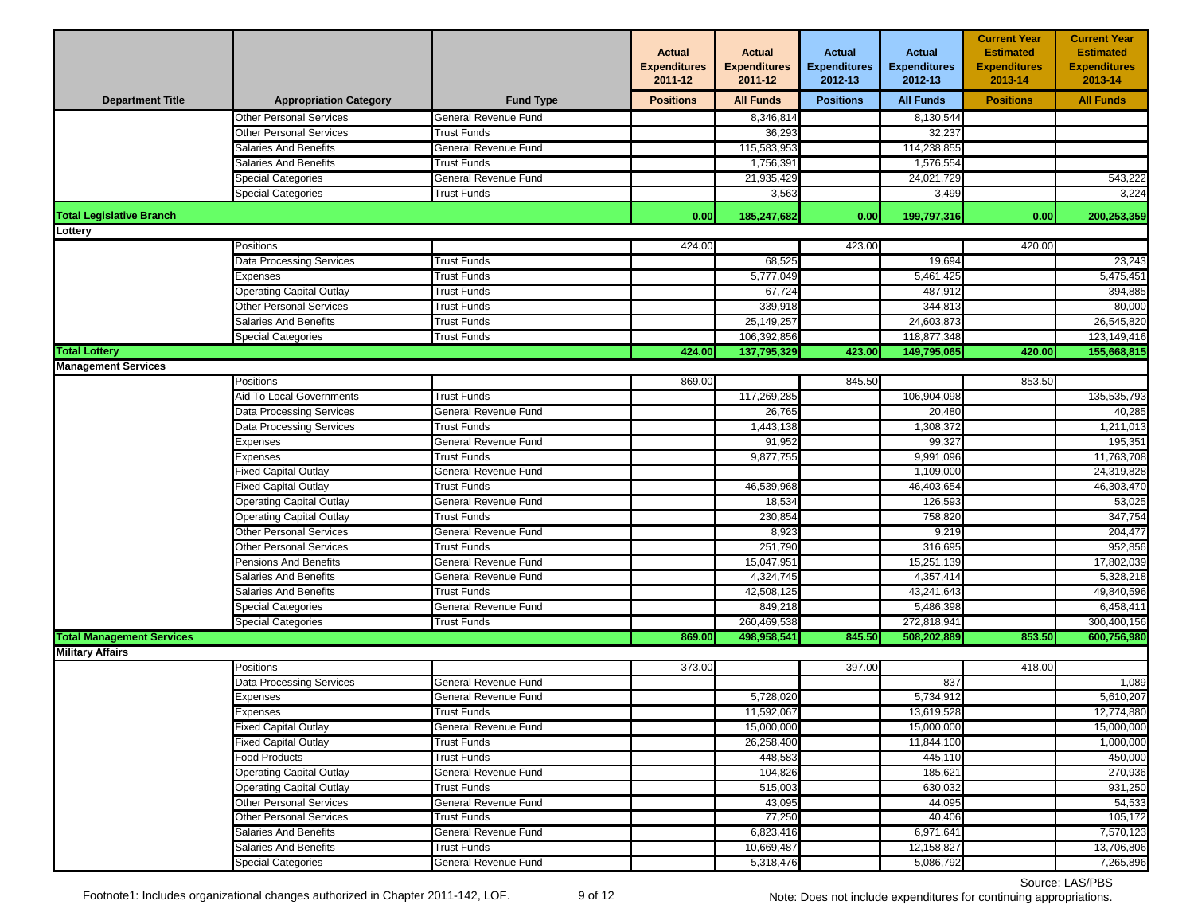|                                                    |                                 |                      | <b>Actual</b><br><b>Expenditures</b><br>2011-12 | <b>Actual</b><br><b>Expenditures</b><br>2011-12 | <b>Actual</b><br><b>Expenditures</b><br>2012-13 | <b>Actual</b><br><b>Expenditures</b><br>2012-13 | <b>Current Year</b><br><b>Estimated</b><br><b>Expenditures</b><br>2013-14 | <b>Current Year</b><br><b>Estimated</b><br><b>Expenditures</b><br>2013-14 |
|----------------------------------------------------|---------------------------------|----------------------|-------------------------------------------------|-------------------------------------------------|-------------------------------------------------|-------------------------------------------------|---------------------------------------------------------------------------|---------------------------------------------------------------------------|
| <b>Department Title</b>                            | <b>Appropriation Category</b>   | <b>Fund Type</b>     | <b>Positions</b>                                | <b>All Funds</b>                                | <b>Positions</b>                                | <b>All Funds</b>                                | <b>Positions</b>                                                          | <b>All Funds</b>                                                          |
|                                                    | <b>Other Personal Services</b>  | General Revenue Fund |                                                 | 8,346,814                                       |                                                 | 8,130,544                                       |                                                                           |                                                                           |
|                                                    | <b>Other Personal Services</b>  | <b>Trust Funds</b>   |                                                 | 36,293                                          |                                                 | 32,237                                          |                                                                           |                                                                           |
|                                                    | Salaries And Benefits           | General Revenue Fund |                                                 | 115,583,953                                     |                                                 | 114,238,855                                     |                                                                           |                                                                           |
|                                                    | Salaries And Benefits           | Trust Funds          |                                                 | 1,756,391                                       |                                                 | 1,576,554                                       |                                                                           |                                                                           |
|                                                    | <b>Special Categories</b>       | General Revenue Fund |                                                 | 21,935,429                                      |                                                 | 24.021.729                                      |                                                                           | 543,222                                                                   |
|                                                    | <b>Special Categories</b>       | <b>Trust Funds</b>   |                                                 | 3,563                                           |                                                 | 3,499                                           |                                                                           | 3,224                                                                     |
| <b>Total Legislative Branch</b>                    |                                 |                      | 0.00                                            | 185,247,682                                     | 0.00                                            | 199,797,316                                     | 0.00                                                                      | 200,253,359                                                               |
| Lottery                                            |                                 |                      |                                                 |                                                 |                                                 |                                                 |                                                                           |                                                                           |
|                                                    | Positions                       |                      | 424.00                                          |                                                 | 423.00                                          |                                                 | 420.00                                                                    |                                                                           |
|                                                    | Data Processing Services        | <b>Trust Funds</b>   |                                                 | 68,525                                          |                                                 | 19,694                                          |                                                                           | 23,243                                                                    |
|                                                    | Expenses                        | <b>Trust Funds</b>   |                                                 | 5,777,049                                       |                                                 | 5,461,425                                       |                                                                           | 5,475,451                                                                 |
|                                                    | <b>Operating Capital Outlay</b> | <b>Trust Funds</b>   |                                                 | 67,724                                          |                                                 | 487,912                                         |                                                                           | 394,885                                                                   |
|                                                    | Other Personal Services         | <b>Trust Funds</b>   |                                                 | 339,918                                         |                                                 | 344,813                                         |                                                                           | 80,000                                                                    |
|                                                    | Salaries And Benefits           | Trust Funds          |                                                 | 25, 149, 257                                    |                                                 | 24,603,873                                      |                                                                           | 26,545,820                                                                |
|                                                    | Special Categories              | Trust Funds          |                                                 | 106,392,856                                     |                                                 | 118,877,348                                     |                                                                           | 123,149,416<br>155,668,815                                                |
| <b>Total Lottery</b><br><b>Management Services</b> |                                 |                      | 424.00                                          | 137,795,329                                     | 423.00                                          | 149,795,065                                     | 420.00                                                                    |                                                                           |
|                                                    | Positions                       |                      | 869.00                                          |                                                 | 845.50                                          |                                                 | 853.50                                                                    |                                                                           |
|                                                    | Aid To Local Governments        | <b>Trust Funds</b>   |                                                 | 117,269,285                                     |                                                 | 106,904,098                                     |                                                                           | 135,535,793                                                               |
|                                                    | Data Processing Services        | General Revenue Fund |                                                 | 26,765                                          |                                                 | 20,480                                          |                                                                           | 40,285                                                                    |
|                                                    | Data Processing Services        | Trust Funds          |                                                 | 1,443,138                                       |                                                 | 1,308,372                                       |                                                                           | 1,211,013                                                                 |
|                                                    | Expenses                        | General Revenue Fund |                                                 | 91,952                                          |                                                 | 99,327                                          |                                                                           | 195,351                                                                   |
|                                                    | Expenses                        | <b>Trust Funds</b>   |                                                 | 9,877,755                                       |                                                 | 9,991,096                                       |                                                                           | 11,763,708                                                                |
|                                                    | Fixed Capital Outlay            | General Revenue Fund |                                                 |                                                 |                                                 | 1,109,000                                       |                                                                           | 24,319,828                                                                |
|                                                    | <b>Fixed Capital Outlay</b>     | <b>Trust Funds</b>   |                                                 | 46,539,968                                      |                                                 | 46,403,654                                      |                                                                           | 46,303,470                                                                |
|                                                    | <b>Operating Capital Outlay</b> | General Revenue Fund |                                                 | 18,534                                          |                                                 | 126,593                                         |                                                                           | 53,025                                                                    |
|                                                    | <b>Operating Capital Outlay</b> | Trust Funds          |                                                 | 230,854                                         |                                                 | 758,820                                         |                                                                           | 347,754                                                                   |
|                                                    | <b>Other Personal Services</b>  | General Revenue Fund |                                                 | 8,923                                           |                                                 | 9,219                                           |                                                                           | 204,477                                                                   |
|                                                    | Other Personal Services         | Trust Funds          |                                                 | 251,790                                         |                                                 | 316,695                                         |                                                                           | 952,856                                                                   |
|                                                    | Pensions And Benefits           | General Revenue Fund |                                                 | 15,047,951                                      |                                                 | 15,251,139                                      |                                                                           | 17,802,039                                                                |
|                                                    | <b>Salaries And Benefits</b>    | General Revenue Fund |                                                 | 4,324,745                                       |                                                 | 4,357,414                                       |                                                                           | 5,328,218                                                                 |
|                                                    | <b>Salaries And Benefits</b>    | <b>Trust Funds</b>   |                                                 | 42,508,125                                      |                                                 | 43,241,643                                      |                                                                           | 49,840,596                                                                |
|                                                    | Special Categories              | General Revenue Fund |                                                 | 849,218                                         |                                                 | 5,486,398                                       |                                                                           | 6,458,411                                                                 |
|                                                    | <b>Special Categories</b>       | <b>Trust Funds</b>   |                                                 | 260,469,538                                     |                                                 | 272,818,941                                     |                                                                           | 300,400,156                                                               |
| <b>Total Management Services</b>                   |                                 |                      | 869.00                                          | 498,958,541                                     | 845.50                                          | 508,202,889                                     | 853.50                                                                    | 600,756,980                                                               |
| <b>Military Affairs</b>                            |                                 |                      |                                                 |                                                 |                                                 |                                                 |                                                                           |                                                                           |
|                                                    | Positions                       |                      | 373.00                                          |                                                 | 397.00                                          |                                                 | 418.00                                                                    |                                                                           |
|                                                    | Data Processing Services        | General Revenue Fund |                                                 |                                                 |                                                 | 837                                             |                                                                           | 1,089                                                                     |
|                                                    | Expenses                        | General Revenue Fund |                                                 | 5,728,020                                       |                                                 | 5,734,912                                       |                                                                           | 5,610,207                                                                 |
|                                                    | Expenses                        | <b>Trust Funds</b>   |                                                 | 11,592,067                                      |                                                 | 13,619,528                                      |                                                                           | 12,774,880                                                                |
|                                                    | <b>Fixed Capital Outlay</b>     | General Revenue Fund |                                                 | 15,000,000                                      |                                                 | 15,000,000                                      |                                                                           | 15,000,000                                                                |
|                                                    | Fixed Capital Outlay            | Trust Funds          |                                                 | 26,258,400                                      |                                                 | 11,844,100                                      |                                                                           | 1,000,000                                                                 |
|                                                    | Food Products                   | <b>Trust Funds</b>   |                                                 | 448,583                                         |                                                 | 445,110                                         |                                                                           | 450,000                                                                   |
|                                                    | <b>Operating Capital Outlay</b> | General Revenue Fund |                                                 | 104,826                                         |                                                 | 185,621                                         |                                                                           | 270,936                                                                   |
|                                                    | Operating Capital Outlay        | Trust Funds          |                                                 | 515,003                                         |                                                 | 630,032                                         |                                                                           | 931,250                                                                   |
|                                                    | <b>Other Personal Services</b>  | General Revenue Fund |                                                 | 43,095                                          |                                                 | 44,095                                          |                                                                           | 54,533                                                                    |
|                                                    | <b>Other Personal Services</b>  | <b>Trust Funds</b>   |                                                 | 77,250                                          |                                                 | 40,406                                          |                                                                           | 105,172                                                                   |
|                                                    | Salaries And Benefits           | General Revenue Fund |                                                 | 6,823,416                                       |                                                 | 6,971,641                                       |                                                                           | 7,570,123                                                                 |
|                                                    | Salaries And Benefits           | <b>Trust Funds</b>   |                                                 | 10,669,487                                      |                                                 | 12,158,827                                      |                                                                           | 13,706,806                                                                |
|                                                    | Special Categories              | General Revenue Fund |                                                 | 5,318,476                                       |                                                 | 5,086,792                                       |                                                                           | 7,265,896                                                                 |

## Source: LAS/PBS Note: Does not include expenditures for continuing appropriations.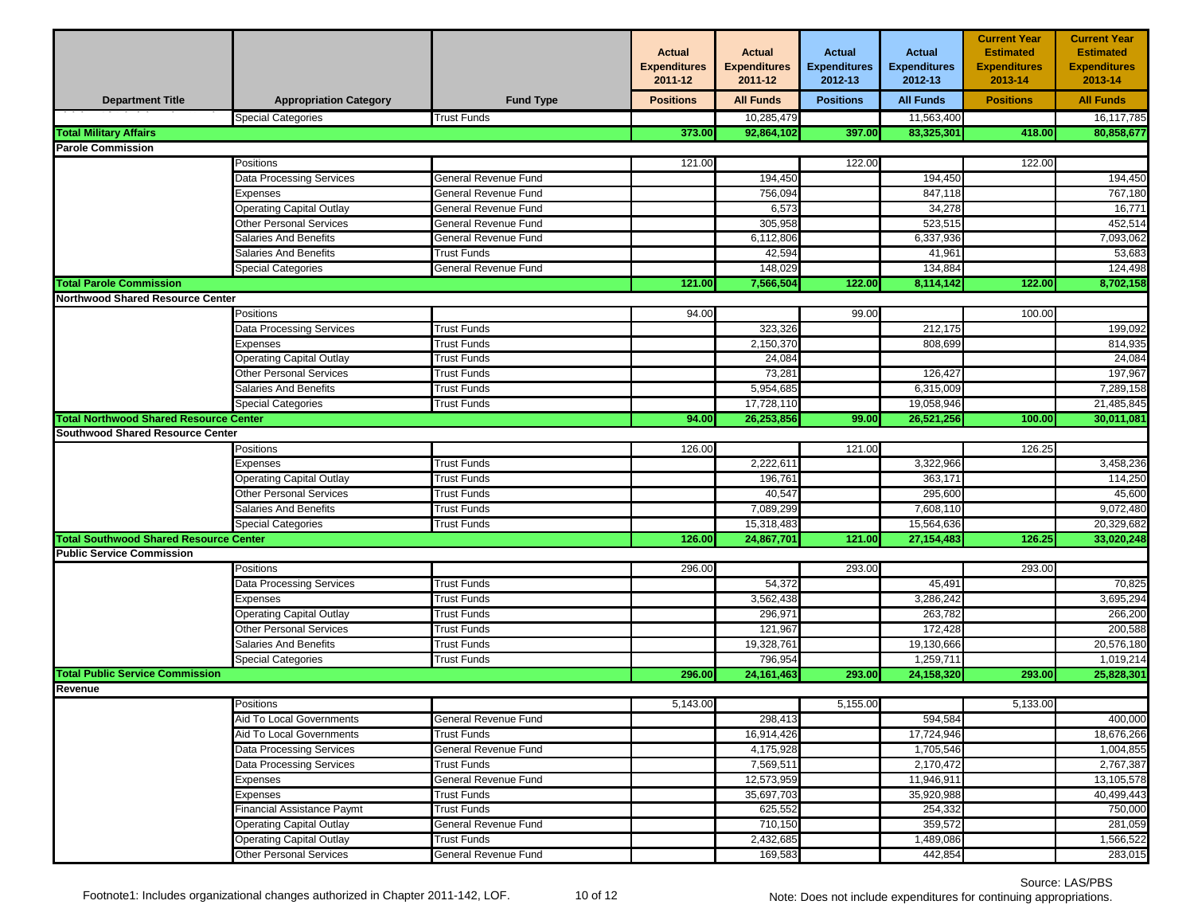|                                               |                                 |                      | <b>Actual</b><br><b>Expenditures</b><br>2011-12 | Actual<br><b>Expenditures</b><br>2011-12 | <b>Actual</b><br><b>Expenditures</b><br>2012-13 | <b>Actual</b><br><b>Expenditures</b><br>2012-13 | <b>Current Year</b><br><b>Estimated</b><br><b>Expenditures</b><br>2013-14 | <b>Current Year</b><br><b>Estimated</b><br><b>Expenditures</b><br>2013-14 |
|-----------------------------------------------|---------------------------------|----------------------|-------------------------------------------------|------------------------------------------|-------------------------------------------------|-------------------------------------------------|---------------------------------------------------------------------------|---------------------------------------------------------------------------|
| <b>Department Title</b>                       | <b>Appropriation Category</b>   | <b>Fund Type</b>     | <b>Positions</b>                                | <b>All Funds</b>                         | <b>Positions</b>                                | <b>All Funds</b>                                | <b>Positions</b>                                                          | <b>All Funds</b>                                                          |
|                                               | <b>Special Categories</b>       | <b>Trust Funds</b>   |                                                 | 10,285,479                               |                                                 | 11,563,400                                      |                                                                           | 16,117,785                                                                |
| <b>Total Military Affairs</b>                 |                                 |                      | 373.00                                          | 92,864,102                               | 397.00                                          | 83,325,301                                      | 418.00                                                                    | 80,858,677                                                                |
| <b>Parole Commission</b>                      |                                 |                      |                                                 |                                          |                                                 |                                                 |                                                                           |                                                                           |
|                                               | Positions                       |                      | 121.00                                          |                                          | 122.00                                          |                                                 | 122.00                                                                    |                                                                           |
|                                               | Data Processing Services        | General Revenue Fund |                                                 | 194,450                                  |                                                 | 194,450                                         |                                                                           | 194,450                                                                   |
|                                               | Expenses                        | General Revenue Fund |                                                 | 756,094                                  |                                                 | 847,118                                         |                                                                           | 767,180                                                                   |
|                                               | <b>Operating Capital Outlay</b> | General Revenue Fund |                                                 | 6,573                                    |                                                 | 34,278                                          |                                                                           | 16,771                                                                    |
|                                               | Other Personal Services         | General Revenue Fund |                                                 | 305,958                                  |                                                 | 523,515                                         |                                                                           | 452,514                                                                   |
|                                               | Salaries And Benefits           | General Revenue Fund |                                                 | 6,112,806                                |                                                 | 6,337,936                                       |                                                                           | 7,093,062                                                                 |
|                                               | <b>Salaries And Benefits</b>    | <b>Trust Funds</b>   |                                                 | 42,594                                   |                                                 | 41,961                                          |                                                                           | 53,683                                                                    |
|                                               | Special Categories              | General Revenue Fund |                                                 | 148,029                                  |                                                 | 134,884                                         |                                                                           | 124,498                                                                   |
| <b>Total Parole Commission</b>                |                                 |                      | 121.00                                          | 7,566,504                                | 122.00                                          | 8,114,142                                       | 122.00                                                                    | 8,702,158                                                                 |
| <b>Northwood Shared Resource Center</b>       |                                 |                      |                                                 |                                          |                                                 |                                                 |                                                                           |                                                                           |
|                                               | Positions                       |                      | 94.00                                           |                                          | 99.00                                           |                                                 | 100.00                                                                    |                                                                           |
|                                               | Data Processing Services        | Trust Funds          |                                                 | 323,326                                  |                                                 | 212,175                                         |                                                                           | 199,092                                                                   |
|                                               | Expenses                        | <b>Trust Funds</b>   |                                                 | 2,150,370                                |                                                 | 808,699                                         |                                                                           | 814,935                                                                   |
|                                               | <b>Operating Capital Outlay</b> | <b>Trust Funds</b>   |                                                 | 24,084                                   |                                                 |                                                 |                                                                           | 24,084                                                                    |
|                                               | Other Personal Services         | <b>Trust Funds</b>   |                                                 | 73,281                                   |                                                 | 126,427                                         |                                                                           | 197,967                                                                   |
|                                               | Salaries And Benefits           | <b>Trust Funds</b>   |                                                 | 5,954,685                                |                                                 | 6,315,009                                       |                                                                           | 7,289,158                                                                 |
|                                               | Special Categories              | Trust Funds          |                                                 | 17,728,110                               |                                                 | 19,058,946                                      |                                                                           | 21,485,845                                                                |
| <b>Total Northwood Shared Resource Center</b> |                                 |                      | 94.00                                           | 26,253,856                               | 99.00                                           | 26,521,256                                      | 100.00                                                                    | 30,011,081                                                                |
| Southwood Shared Resource Center              |                                 |                      |                                                 |                                          |                                                 |                                                 |                                                                           |                                                                           |
|                                               | Positions                       |                      | 126.00                                          |                                          | 121.00                                          |                                                 | 126.25                                                                    |                                                                           |
|                                               | Expenses                        | <b>Trust Funds</b>   |                                                 | 2,222,611                                |                                                 | 3,322,966                                       |                                                                           | 3,458,236                                                                 |
|                                               | <b>Operating Capital Outlay</b> | <b>Trust Funds</b>   |                                                 | 196,761                                  |                                                 | 363,171                                         |                                                                           | 114,250                                                                   |
|                                               | Other Personal Services         | Trust Funds          |                                                 | 40,547                                   |                                                 | 295,600                                         |                                                                           | 45,600                                                                    |
|                                               | Salaries And Benefits           | Trust Funds          |                                                 | 7,089,299                                |                                                 | 7,608,110                                       |                                                                           | 9,072,480                                                                 |
|                                               | Special Categories              | <b>Trust Funds</b>   |                                                 | 15,318,483                               |                                                 | 15,564,636                                      |                                                                           | 20,329,682                                                                |
| <b>Total Southwood Shared Resource Center</b> |                                 |                      | 126.00                                          | 24,867,701                               | 121.00                                          | 27, 154, 483                                    | 126.25                                                                    | 33,020,248                                                                |
| <b>Public Service Commission</b>              |                                 |                      |                                                 |                                          |                                                 |                                                 |                                                                           |                                                                           |
|                                               | Positions                       |                      | 296.00                                          |                                          | 293.00                                          |                                                 | 293.00                                                                    |                                                                           |
|                                               | Data Processing Services        | <b>Trust Funds</b>   |                                                 | 54,372                                   |                                                 | 45,491                                          |                                                                           | 70,825                                                                    |
|                                               | <b>Expenses</b>                 | Trust Funds          |                                                 | 3,562,438                                |                                                 | 3,286,242                                       |                                                                           | 3,695,294                                                                 |
|                                               | <b>Operating Capital Outlay</b> | <b>Trust Funds</b>   |                                                 | 296,971                                  |                                                 | 263,782                                         |                                                                           | 266,200                                                                   |
|                                               | <b>Other Personal Services</b>  | <b>Trust Funds</b>   |                                                 | 121,967                                  |                                                 | 172,428                                         |                                                                           | 200,588                                                                   |
|                                               | Salaries And Benefits           | Trust Funds          |                                                 | 19,328,761                               |                                                 | 19,130,666                                      |                                                                           | 20,576,180                                                                |
|                                               | <b>Special Categories</b>       | <b>Trust Funds</b>   |                                                 | 796,954                                  |                                                 | 1,259,711                                       |                                                                           | 1,019,214                                                                 |
| <b>Total Public Service Commission</b>        |                                 |                      | 296.00                                          | 24, 161, 463                             | 293.00                                          | 24,158,320                                      | 293.00                                                                    | 25,828,301                                                                |
| Revenue                                       |                                 |                      |                                                 |                                          |                                                 |                                                 |                                                                           |                                                                           |
|                                               | Positions                       |                      | 5,143.00                                        |                                          | 5,155.00                                        |                                                 | 5.133.00                                                                  |                                                                           |
|                                               | Aid To Local Governments        | General Revenue Fund |                                                 | 298,413                                  |                                                 | 594,584                                         |                                                                           | 400,000                                                                   |
|                                               | Aid To Local Governments        | Trust Funds          |                                                 | 16,914,426                               |                                                 | 17,724,946                                      |                                                                           | 18,676,266                                                                |
|                                               | Data Processing Services        | General Revenue Fund |                                                 | 4,175,928                                |                                                 | 1,705,546                                       |                                                                           | 1,004,855                                                                 |
|                                               | <b>Data Processing Services</b> | <b>Trust Funds</b>   |                                                 | 7,569,511                                |                                                 | 2,170,472                                       |                                                                           | 2,767,387                                                                 |
|                                               | Expenses                        | General Revenue Fund |                                                 | 12,573,959                               |                                                 | 11,946,911                                      |                                                                           | 13,105,578                                                                |
|                                               | Expenses                        | <b>Trust Funds</b>   |                                                 | 35,697,703                               |                                                 | 35,920,988                                      |                                                                           | 40,499,443                                                                |
|                                               | Financial Assistance Paymt      | Trust Funds          |                                                 | 625,552                                  |                                                 | 254,332                                         |                                                                           | 750,000                                                                   |
|                                               | <b>Operating Capital Outlay</b> | General Revenue Fund |                                                 | 710,150                                  |                                                 | 359,572                                         |                                                                           | 281,059                                                                   |
|                                               | Operating Capital Outlay        | <b>Trust Funds</b>   |                                                 | 2,432,685                                |                                                 | 1,489,086                                       |                                                                           | 1,566,522                                                                 |
|                                               | <b>Other Personal Services</b>  | General Revenue Fund |                                                 | 169,583                                  |                                                 | 442,854                                         |                                                                           | 283,015                                                                   |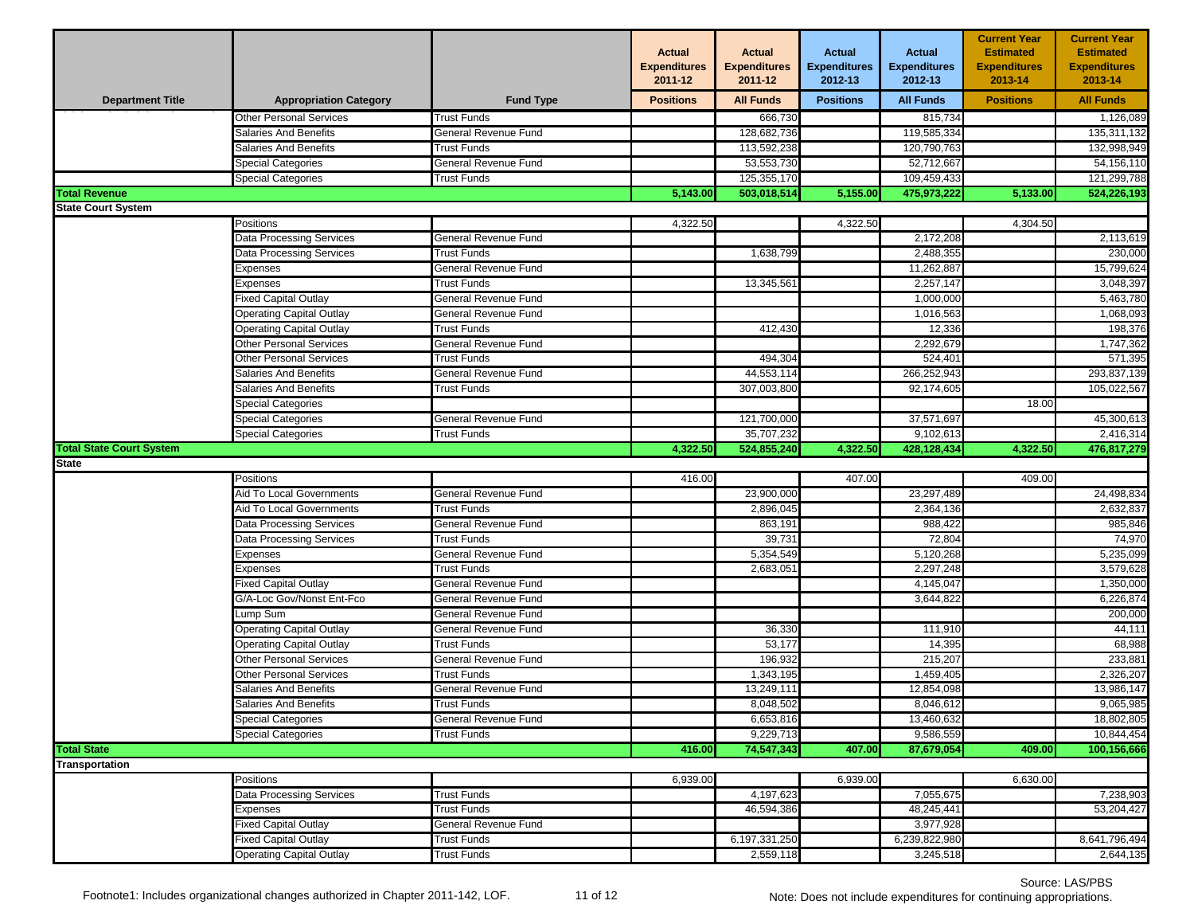|                                 |                                 |                      | <b>Actual</b><br><b>Expenditures</b><br>2011-12 | <b>Actual</b><br><b>Expenditures</b><br>2011-12 | <b>Actual</b><br><b>Expenditures</b><br>2012-13 | <b>Actual</b><br><b>Expenditures</b><br>2012-13 | <b>Current Year</b><br><b>Estimated</b><br><b>Expenditures</b><br>2013-14 | <b>Current Year</b><br><b>Estimated</b><br><b>Expenditures</b><br>2013-14 |
|---------------------------------|---------------------------------|----------------------|-------------------------------------------------|-------------------------------------------------|-------------------------------------------------|-------------------------------------------------|---------------------------------------------------------------------------|---------------------------------------------------------------------------|
| <b>Department Title</b>         | <b>Appropriation Category</b>   | <b>Fund Type</b>     | <b>Positions</b>                                | <b>All Funds</b>                                | <b>Positions</b>                                | <b>All Funds</b>                                | <b>Positions</b>                                                          | <b>All Funds</b>                                                          |
|                                 | <b>Other Personal Services</b>  | <b>Trust Funds</b>   |                                                 | 666,730                                         |                                                 | 815,734                                         |                                                                           | 1,126,089                                                                 |
|                                 | <b>Salaries And Benefits</b>    | General Revenue Fund |                                                 | 128,682,736                                     |                                                 | 119,585,334                                     |                                                                           | 135,311,132                                                               |
|                                 | <b>Salaries And Benefits</b>    | Trust Funds          |                                                 | 113,592,238                                     |                                                 | 120,790,763                                     |                                                                           | 132,998,949                                                               |
|                                 | Special Categories              | General Revenue Fund |                                                 | 53,553,730                                      |                                                 | 52,712,667                                      |                                                                           | 54,156,110                                                                |
|                                 | Special Categories              | Trust Funds          |                                                 | 125,355,170                                     |                                                 | 109,459,433                                     |                                                                           | 121,299,788                                                               |
| <b>Total Revenue</b>            |                                 |                      | 5,143.00                                        | 503,018,514                                     | 5,155.00                                        | 475,973,222                                     | 5,133.00                                                                  | 524,226,193                                                               |
| <b>State Court System</b>       |                                 |                      |                                                 |                                                 |                                                 |                                                 |                                                                           |                                                                           |
|                                 | Positions                       |                      | 4,322.50                                        |                                                 | 4,322.50                                        |                                                 | 4,304.50                                                                  |                                                                           |
|                                 | <b>Data Processing Services</b> | General Revenue Fund |                                                 |                                                 |                                                 | 2,172,208                                       |                                                                           | 2,113,619                                                                 |
|                                 | Data Processing Services        | <b>Trust Funds</b>   |                                                 | 1,638,799                                       |                                                 | 2,488,355                                       |                                                                           | 230,000                                                                   |
|                                 | Expenses                        | General Revenue Fund |                                                 |                                                 |                                                 | 11,262,887                                      |                                                                           | 15,799,624                                                                |
|                                 | Expenses                        | <b>Trust Funds</b>   |                                                 | 13,345,561                                      |                                                 | 2,257,147                                       |                                                                           | 3,048,397                                                                 |
|                                 | Fixed Capital Outlay            | General Revenue Fund |                                                 |                                                 |                                                 | 1,000,000                                       |                                                                           | 5,463,780                                                                 |
|                                 | <b>Operating Capital Outlay</b> | General Revenue Fund |                                                 |                                                 |                                                 | 1,016,563                                       |                                                                           | 1,068,093                                                                 |
|                                 | <b>Operating Capital Outlay</b> | <b>Trust Funds</b>   |                                                 | 412,430                                         |                                                 | 12,336                                          |                                                                           | 198,376                                                                   |
|                                 | <b>Other Personal Services</b>  | General Revenue Fund |                                                 |                                                 |                                                 | 2,292,679                                       |                                                                           | 1,747,362                                                                 |
|                                 | <b>Other Personal Services</b>  | <b>Trust Funds</b>   |                                                 | 494,304                                         |                                                 | 524,401                                         |                                                                           | 571,395                                                                   |
|                                 | Salaries And Benefits           | General Revenue Fund |                                                 | 44,553,114                                      |                                                 | 266,252,943                                     |                                                                           | 293,837,139                                                               |
|                                 | <b>Salaries And Benefits</b>    | <b>Trust Funds</b>   |                                                 | 307,003,800                                     |                                                 | 92,174,605                                      |                                                                           | 105,022,567                                                               |
|                                 | Special Categories              |                      |                                                 |                                                 |                                                 |                                                 | 18.00                                                                     |                                                                           |
|                                 | <b>Special Categories</b>       | General Revenue Fund |                                                 | 121,700,000                                     |                                                 | 37,571,697                                      |                                                                           | 45,300,613                                                                |
|                                 | <b>Special Categories</b>       | Trust Funds          |                                                 | 35,707,232                                      |                                                 | 9,102,613                                       |                                                                           | 2,416,314                                                                 |
| <b>Total State Court System</b> |                                 |                      | 4,322.50                                        | 524,855,240                                     | 4,322.50                                        | 428,128,434                                     | 4,322.50                                                                  | 476,817,279                                                               |
| <b>State</b>                    |                                 |                      |                                                 |                                                 |                                                 |                                                 |                                                                           |                                                                           |
|                                 | Positions                       |                      | 416.00                                          |                                                 | 407.00                                          |                                                 | 409.00                                                                    |                                                                           |
|                                 | Aid To Local Governments        | General Revenue Fund |                                                 | 23,900,000                                      |                                                 | 23,297,489                                      |                                                                           | 24,498,834                                                                |
|                                 | Aid To Local Governments        | <b>Trust Funds</b>   |                                                 | 2,896,045                                       |                                                 | 2,364,136                                       |                                                                           | 2,632,837                                                                 |
|                                 | <b>Data Processing Services</b> | General Revenue Fund |                                                 | 863,191                                         |                                                 | 988,422                                         |                                                                           | 985,846                                                                   |
|                                 | <b>Data Processing Services</b> | Trust Funds          |                                                 | 39,731                                          |                                                 | 72,804                                          |                                                                           | 74,970                                                                    |
|                                 | Expenses                        | General Revenue Fund |                                                 | 5,354,549                                       |                                                 | 5,120,268                                       |                                                                           | 5,235,099                                                                 |
|                                 | Expenses                        | <b>Trust Funds</b>   |                                                 | 2,683,051                                       |                                                 | 2,297,248                                       |                                                                           | 3,579,628                                                                 |
|                                 | Fixed Capital Outlay            | General Revenue Fund |                                                 |                                                 |                                                 | 4,145,047                                       |                                                                           | 1,350,000                                                                 |
|                                 | G/A-Loc Gov/Nonst Ent-Fco       | General Revenue Fund |                                                 |                                                 |                                                 | 3,644,822                                       |                                                                           | 6,226,874                                                                 |
|                                 | Lump Sum                        | General Revenue Fund |                                                 |                                                 |                                                 |                                                 |                                                                           | 200,000                                                                   |
|                                 | <b>Operating Capital Outlay</b> | General Revenue Fund |                                                 | 36,330                                          |                                                 | 111,910                                         |                                                                           | 44,111                                                                    |
|                                 | <b>Operating Capital Outlay</b> | Trust Funds          |                                                 | 53,177                                          |                                                 | 14,395                                          |                                                                           | 68,988                                                                    |
|                                 | <b>Other Personal Services</b>  | General Revenue Fund |                                                 | 196,932                                         |                                                 | 215,207                                         |                                                                           | 233,881                                                                   |
|                                 | <b>Other Personal Services</b>  | <b>Trust Funds</b>   |                                                 | 1,343,195                                       |                                                 | 1,459,405                                       |                                                                           | 2,326,207                                                                 |
|                                 | Salaries And Benefits           | General Revenue Fund |                                                 | 13,249,111                                      |                                                 | 12,854,098                                      |                                                                           | 13,986,147                                                                |
|                                 | <b>Salaries And Benefits</b>    | <b>Trust Funds</b>   |                                                 | 8,048,502                                       |                                                 | 8,046,612                                       |                                                                           | 9,065,985                                                                 |
|                                 | <b>Special Categories</b>       | General Revenue Fund |                                                 | 6,653,816                                       |                                                 | 13,460,632                                      |                                                                           | 18,802,805                                                                |
|                                 | <b>Special Categories</b>       | Trust Funds          |                                                 | 9,229,713                                       |                                                 | 9,586,559                                       |                                                                           | 10,844,454                                                                |
| <b>Total State</b>              |                                 |                      | 416.00                                          | 74,547,343                                      | 407.00                                          | 87,679,054                                      | 409.00                                                                    | 100,156,666                                                               |
| <b>Transportation</b>           |                                 |                      |                                                 |                                                 |                                                 |                                                 |                                                                           |                                                                           |
|                                 | Positions                       |                      | 6,939.00                                        |                                                 | 6,939.00                                        |                                                 | 6,630.00                                                                  |                                                                           |
|                                 | Data Processing Services        | <b>Trust Funds</b>   |                                                 | 4,197,623                                       |                                                 | 7,055,675                                       |                                                                           | 7,238,903                                                                 |
|                                 | Expenses                        | <b>Trust Funds</b>   |                                                 | 46,594,386                                      |                                                 | 48,245,441                                      |                                                                           | 53,204,427                                                                |
|                                 | <b>Fixed Capital Outlay</b>     | General Revenue Fund |                                                 |                                                 |                                                 | 3,977,928                                       |                                                                           |                                                                           |
|                                 | <b>Fixed Capital Outlay</b>     | <b>Trust Funds</b>   |                                                 | 6,197,331,250                                   |                                                 | 6,239,822,980                                   |                                                                           | 8,641,796,494                                                             |
|                                 | <b>Operating Capital Outlay</b> | <b>Trust Funds</b>   |                                                 | 2,559,118                                       |                                                 | 3,245,518                                       |                                                                           | 2,644,135                                                                 |